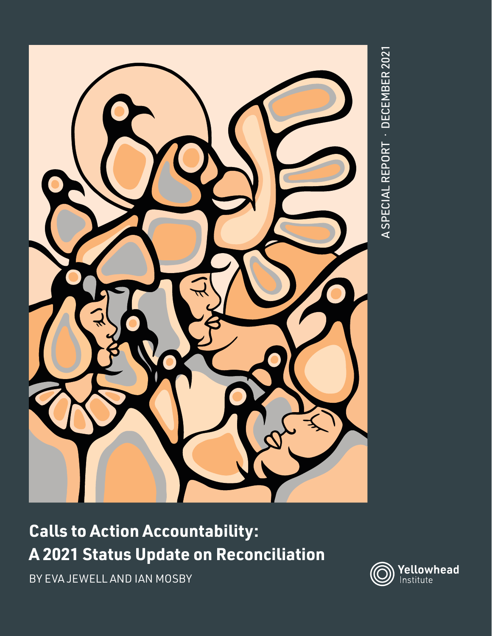

## **Calls to Action Accountability: A 2021 Status Update on Reconciliation**

BY EVA JEWELL AND IAN MOSBY

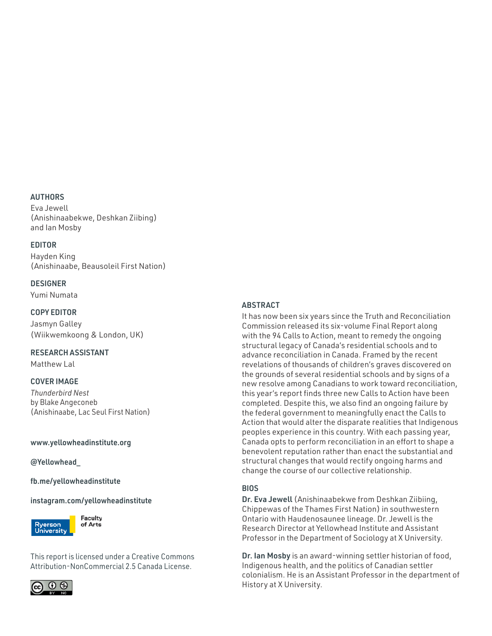### AUTHORS

Eva Jewell (Anishinaabekwe, Deshkan Ziibing) and Ian Mosby

#### EDITOR

Hayden King (Anishinaabe, Beausoleil First Nation)

### DESIGNER

Yumi Numata

#### COPY EDITOR

Jasmyn Galley (Wiikwemkoong & London, UK)

### RESEARCH ASSISTANT

Matthew Lal

### COVER IMAGE

*Thunderbird Nest*  by Blake Angeconeb (Anishinaabe, Lac Seul First Nation)

#### www.yellowheadinstitute.org

#### @Yellowhead\_

#### fb.me/yellowheadinstitute

#### [instagram.com/yellowheadinstitute](http://instagram.com/yellowheadinstitute)



This report is licensed under a Creative Commons Attribution-NonCommercial 2.5 Canada License.



#### ABSTRACT

It has now been six years since the Truth and Reconciliation Commission released its six-volume Final Report along with the 94 Calls to Action, meant to remedy the ongoing structural legacy of Canada's residential schools and to advance reconciliation in Canada. Framed by the recent revelations of thousands of children's graves discovered on the grounds of several residential schools and by signs of a new resolve among Canadians to work toward reconciliation, this year's report finds three new Calls to Action have been completed. Despite this, we also find an ongoing failure by the federal government to meaningfully enact the Calls to Action that would alter the disparate realities that Indigenous peoples experience in this country. With each passing year, Canada opts to perform reconciliation in an effort to shape a benevolent reputation rather than enact the substantial and structural changes that would rectify ongoing harms and change the course of our collective relationship.

### **BIOS**

Dr. Eva Jewell (Anishinaabekwe from Deshkan Ziibiing, Chippewas of the Thames First Nation) in southwestern Ontario with Haudenosaunee lineage. Dr. Jewell is the Research Director at Yellowhead Institute and Assistant Professor in the Department of Sociology at X University.

Dr. Ian Mosby is an award-winning settler historian of food, Indigenous health, and the politics of Canadian settler colonialism. He is an Assistant Professor in the department of History at X University.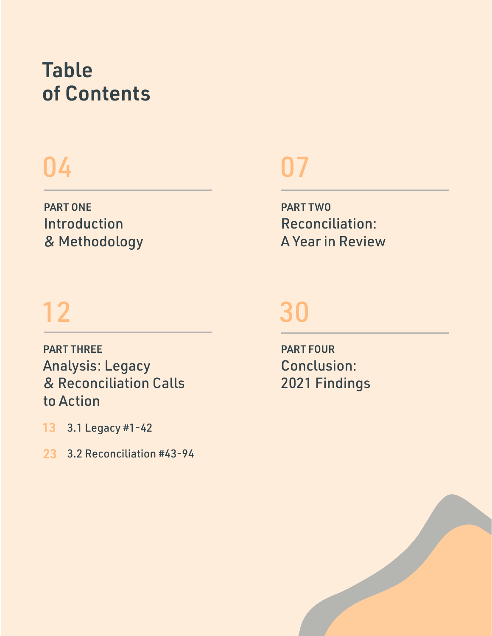# Table of Contents

# 04 07

PART ONE Introduction & Methodology

# 12 30

PART THREE Analysis: Legacy & Reconciliation Calls to Action

3.1 Legacy #1-42 13

3.2 Reconciliation #43-94 23

PART TWO Reconciliation: A Year in Review

PART FOUR Conclusion: 2021 Findings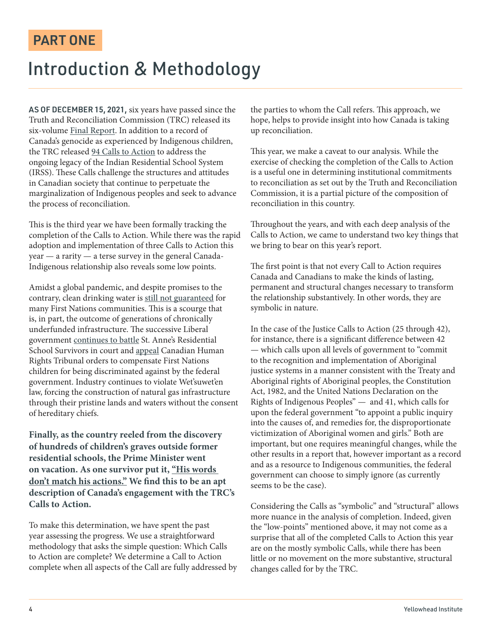### PART ONE

### Introduction & Methodology

AS OF DECEMBER 15, 2021, six years have passed since the Truth and Reconciliation Commission (TRC) released its six-volume [Final Report](https://nctr.ca/records/reports/). In addition to a record of Canada's genocide as experienced by Indigenous children, the TRC released [94 Calls to Action](https://ehprnh2mwo3.exactdn.com/wp-content/uploads/2021/01/Calls_to_Action_English2.pdf) to address the ongoing legacy of the Indian Residential School System (IRSS). These Calls challenge the structures and attitudes in Canadian society that continue to perpetuate the marginalization of Indigenous peoples and seek to advance the process of reconciliation.

This is the third year we have been formally tracking the completion of the Calls to Action. While there was the rapid adoption and implementation of three Calls to Action this year — a rarity — a terse survey in the general Canada-Indigenous relationship also reveals some low points.

Amidst a global pandemic, and despite promises to the contrary, clean drinking water is [still not guaranteed](https://www.theglobeandmail.com/canada/article-ottawa-pressed-to-make-good-on-promise-to-end-all-long-term-drinking/) for many First Nations communities. This is a scourge that is, in part, the outcome of generations of chronically underfunded infrastructure. The successive Liberal government [continues to battle](https://www.cbc.ca/news/indigenous/st-annes-review-compensation-1.6161642) St. Anne's Residential School Survivors in court and [appeal](https://www.cbc.ca/news/canada/saskatchewan/opinion-andre-bear-children-discriminate-canada-1.6241047) Canadian Human Rights Tribunal orders to compensate First Nations children for being discriminated against by the federal government. Industry continues to violate Wet'suwet'en law, forcing the construction of natural gas infrastructure through their pristine lands and waters without the consent of hereditary chiefs.

**Finally, as the country reeled from the discovery of hundreds of children's graves outside former residential schools, the Prime Minister went on vacation. As one survivor put it, ["His words](https://www.cbc.ca/news/politics/residential-school-survivor-trudeau-travel-1.6196990)  [don't match his actions."](https://www.cbc.ca/news/politics/residential-school-survivor-trudeau-travel-1.6196990) We find this to be an apt description of Canada's engagement with the TRC's Calls to Action.** 

To make this determination, we have spent the past year assessing the progress. We use a straightforward methodology that asks the simple question: Which Calls to Action are complete? We determine a Call to Action complete when all aspects of the Call are fully addressed by the parties to whom the Call refers. This approach, we hope, helps to provide insight into how Canada is taking up reconciliation.

This year, we make a caveat to our analysis. While the exercise of checking the completion of the Calls to Action is a useful one in determining institutional commitments to reconciliation as set out by the Truth and Reconciliation Commission, it is a partial picture of the composition of reconciliation in this country.

Throughout the years, and with each deep analysis of the Calls to Action, we came to understand two key things that we bring to bear on this year's report.

The first point is that not every Call to Action requires Canada and Canadians to make the kinds of lasting, permanent and structural changes necessary to transform the relationship substantively. In other words, they are symbolic in nature.

In the case of the Justice Calls to Action (25 through 42), for instance, there is a significant difference between 42 — which calls upon all levels of government to "commit to the recognition and implementation of Aboriginal justice systems in a manner consistent with the Treaty and Aboriginal rights of Aboriginal peoples, the Constitution Act, 1982, and the United Nations Declaration on the Rights of Indigenous Peoples" — and 41, which calls for upon the federal government "to appoint a public inquiry into the causes of, and remedies for, the disproportionate victimization of Aboriginal women and girls." Both are important, but one requires meaningful changes, while the other results in a report that, however important as a record and as a resource to Indigenous communities, the federal government can choose to simply ignore (as currently seems to be the case).

Considering the Calls as "symbolic" and "structural" allows more nuance in the analysis of completion. Indeed, given the "low-points" mentioned above, it may not come as a surprise that all of the completed Calls to Action this year are on the mostly symbolic Calls, while there has been little or no movement on the more substantive, structural changes called for by the TRC.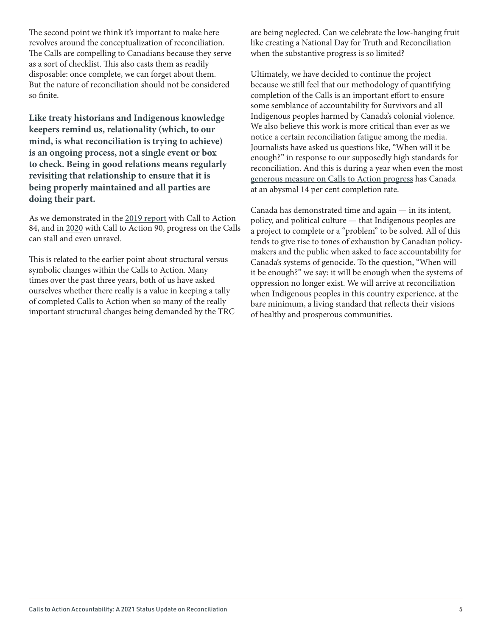The second point we think it's important to make here revolves around the conceptualization of reconciliation. The Calls are compelling to Canadians because they serve as a sort of checklist. This also casts them as readily disposable: once complete, we can forget about them. But the nature of reconciliation should not be considered so finite.

**Like treaty historians and Indigenous knowledge keepers remind us, relationality (which, to our mind, is what reconciliation is trying to achieve) is an ongoing process, not a single event or box to check. Being in good relations means regularly revisiting that relationship to ensure that it is being properly maintained and all parties are doing their part.** 

As we demonstrated in the [2019 report](https://yellowheadinstitute.org/2019/12/17/calls-to-action-accountability-a-status-update-on-reconciliation/) with Call to Action 84, and in [2020](https://yellowheadinstitute.org/wp-content/uploads/2020/12/yi-trc-calls-to-action-update-full-report-2020.pdf) with Call to Action 90, progress on the Calls can stall and even unravel.

This is related to the earlier point about structural versus symbolic changes within the Calls to Action. Many times over the past three years, both of us have asked ourselves whether there really is a value in keeping a tally of completed Calls to Action when so many of the really important structural changes being demanded by the TRC are being neglected. Can we celebrate the low-hanging fruit like creating a National Day for Truth and Reconciliation when the substantive progress is so limited?

Ultimately, we have decided to continue the project because we still feel that our methodology of quantifying completion of the Calls is an important effort to ensure some semblance of accountability for Survivors and all Indigenous peoples harmed by Canada's colonial violence. We also believe this work is more critical than ever as we notice a certain reconciliation fatigue among the media. Journalists have asked us questions like, "When will it be enough?" in response to our supposedly high standards for reconciliation. And this is during a year when even the most [generous measure on Calls to Action progress](https://newsinteractives.cbc.ca/longform-single/beyond-94?&cta=1) has Canada at an abysmal 14 per cent completion rate.

Canada has demonstrated time and again — in its intent, policy, and political culture — that Indigenous peoples are a project to complete or a "problem" to be solved. All of this tends to give rise to tones of exhaustion by Canadian policymakers and the public when asked to face accountability for Canada's systems of genocide. To the question, "When will it be enough?" we say: it will be enough when the systems of oppression no longer exist. We will arrive at reconciliation when Indigenous peoples in this country experience, at the bare minimum, a living standard that reflects their visions of healthy and prosperous communities.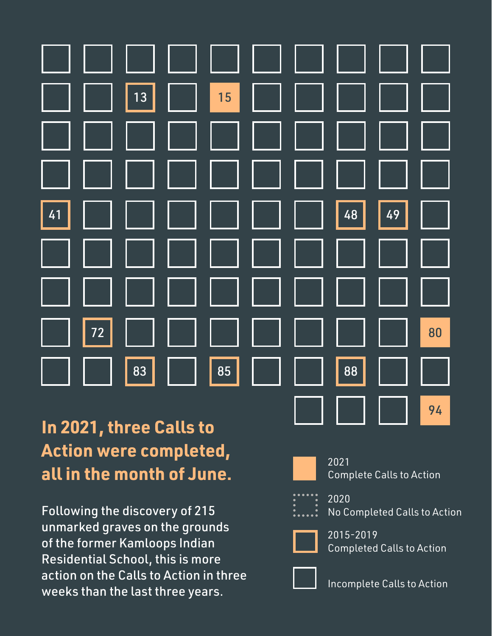

## **In 2021, three Calls to Action were completed, all in the month of June.**

Following the discovery of 215 unmarked graves on the grounds of the former Kamloops Indian Residential School, this is more action on the Calls to Action in three weeks than the last three years.



2021 Complete Calls to Action

2020 No Completed Calls to Action



2015-2019 Completed Calls to Action



Incomplete Calls to Action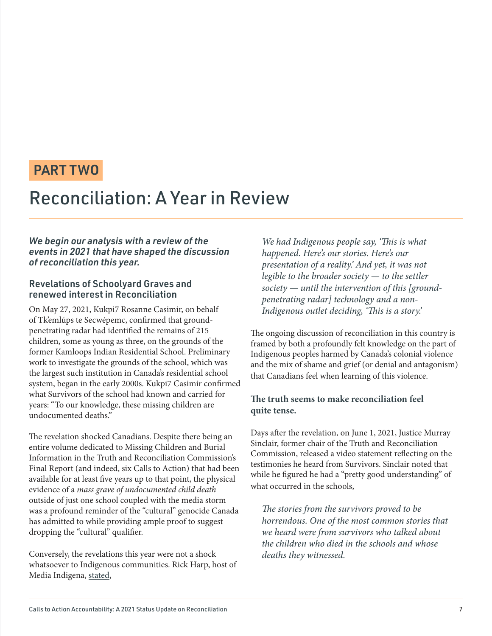### PART TWO

### Reconciliation: A Year in Review

### *We begin our analysis with a review of the events in 2021 that have shaped the discussion of reconciliation this year.*

### Revelations of Schoolyard Graves and renewed interest in Reconciliation

On May 27, 2021, Kukpi7 Rosanne Casimir, on behalf of Tk'emlúps te Secwépemc, confirmed that groundpenetrating radar had identified the remains of 215 children, some as young as three, on the grounds of the former Kamloops Indian Residential School. Preliminary work to investigate the grounds of the school, which was the largest such institution in Canada's residential school system, began in the early 2000s. Kukpi7 Casimir confirmed what Survivors of the school had known and carried for years: "To our knowledge, these missing children are undocumented deaths."

The revelation shocked Canadians. Despite there being an entire volume dedicated to Missing Children and Burial Information in the Truth and Reconciliation Commission's Final Report (and indeed, six Calls to Action) that had been available for at least five years up to that point, the physical evidence of a mass grave of undocumented child death outside of just one school coupled with the media storm was a profound reminder of the "cultural" genocide Canada has admitted to while providing ample proof to suggest dropping the "cultural" qualifier.

Conversely, the revelations this year were not a shock whatsoever to Indigenous communities. Rick Harp, host of Media Indigena, [stated](https://mediaindigena.libsyn.com/grave-concerns-ep-269),

We had Indigenous people say, 'This is what happened. Here's our stories. Here's our presentation of a reality.' And yet, it was not legible to the broader society  $-$  to the settler society  $-$  until the intervention of this [groundpenetrating radar] technology and a non-Indigenous outlet deciding, 'This is a story.'

The ongoing discussion of reconciliation in this country is framed by both a profoundly felt knowledge on the part of Indigenous peoples harmed by Canada's colonial violence and the mix of shame and grief (or denial and antagonism) that Canadians feel when learning of this violence.

### **The truth seems to make reconciliation feel quite tense.**

Days after the revelation, on June 1, 2021, Justice Murray Sinclair, former chair of the Truth and Reconciliation Commission, released a video statement reflecting on the testimonies he heard from Survivors. Sinclair noted that while he figured he had a "pretty good understanding" of what occurred in the schools,

The stories from the survivors proved to be horrendous. One of the most common stories that we heard were from survivors who talked about the children who died in the schools and whose deaths they witnessed.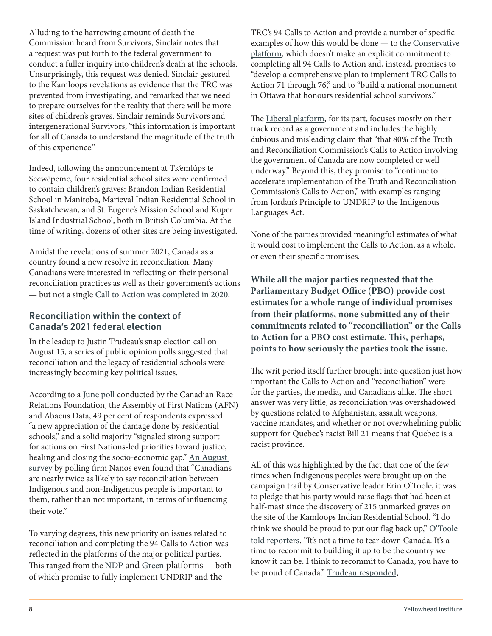Alluding to the harrowing amount of death the Commission heard from Survivors, Sinclair notes that a request was put forth to the federal government to conduct a fuller inquiry into children's death at the schools. Unsurprisingly, this request was denied. Sinclair gestured to the Kamloops revelations as evidence that the TRC was prevented from investigating, and remarked that we need to prepare ourselves for the reality that there will be more sites of children's graves. Sinclair reminds Survivors and intergenerational Survivors, "this information is important for all of Canada to understand the magnitude of the truth of this experience."

Indeed, following the announcement at Tk'emlúps te Secwépemc, four residential school sites were confirmed to contain children's graves: Brandon Indian Residential School in Manitoba, Marieval Indian Residential School in Saskatchewan, and St. Eugene's Mission School and Kuper Island Industrial School, both in British Columbia. At the time of writing, dozens of other sites are being investigated.

Amidst the revelations of summer 2021, Canada as a country found a new resolve in reconciliation. Many Canadians were interested in reflecting on their personal reconciliation practices as well as their government's actions — but not a single C[all to Action was completed in 2020](https://yellowheadinstitute.org/wp-content/uploads/2020/12/yi-trc-calls-to-action-update-full-report-2020.pdf).

### Reconciliation within the context of Canada's 2021 federal election

In the leadup to Justin Trudeau's snap election call on August 15, a series of public opinion polls suggested that reconciliation and the legacy of residential schools were increasingly becoming key political issues.

According to a [June poll](https://www.afn.ca/years-after-release-of-trc-report-most-canadians-want-accelerated-action-to-remedy-damage-done-by-residential-school-system-says-poll/) conducted by the Canadian Race Relations Foundation, the Assembly of First Nations (AFN) and Abacus Data, 49 per cent of respondents expressed "a new appreciation of the damage done by residential schools," and a solid majority "signaled strong support for actions on First Nations-led priorities toward justice, healing and closing the socio-economic gap." An [August](https://www.theglobeandmail.com/politics/article-canadians-nearly-twice-as-likely-to-say-reconciliation-with-indigenous/)  [survey](https://www.theglobeandmail.com/politics/article-canadians-nearly-twice-as-likely-to-say-reconciliation-with-indigenous/) by polling firm Nanos even found that "Canadians are nearly twice as likely to say reconciliation between Indigenous and non-Indigenous people is important to them, rather than not important, in terms of influencing their vote."

To varying degrees, this new priority on issues related to reconciliation and completing the 94 Calls to Action was reflected in the platforms of the major political parties. This ranged from the [NDP](https://xfer.ndp.ca/2021/Commitments/Ready%20for%20Better%20-%20NDP%202021%20commitments.pdf?_gl=1*1thqhj5*_ga*MTIzMTI1OTYwNy4xNjM0NzYzNzg0*_ga_97QLYMLC56*MTYzNTUyNDMyOS4zLjEuMTYzNTUyNDM0NC4w) and [Green](https://www.greenparty.ca/sites/default/files/gpc_platform_en_v-02.pdf) platforms - both of which promise to fully implement UNDRIP and the

TRC's 94 Calls to Action and provide a number of specific examples of how this would be done — to the [Conservative]( https://cpcassets.conservative.ca/wp-content/uploads/2021/08/25132033/5ea53c19b2e3597.pdf )  [platform]( https://cpcassets.conservative.ca/wp-content/uploads/2021/08/25132033/5ea53c19b2e3597.pdf ), which doesn't make an explicit commitment to completing all 94 Calls to Action and, instead, promises to "develop a comprehensive plan to implement TRC Calls to Action 71 through 76," and to "build a national monument in Ottawa that honours residential school survivors."

The [Liberal platform](https://liberal.ca/wp-content/uploads/sites/292/2021/09/Platform-Forward-For-Everyone.pdf), for its part, focuses mostly on their track record as a government and includes the highly dubious and misleading claim that "that 80% of the Truth and Reconciliation Commission's Calls to Action involving the government of Canada are now completed or well underway." Beyond this, they promise to "continue to accelerate implementation of the Truth and Reconciliation Commission's Calls to Action," with examples ranging from Jordan's Principle to UNDRIP to the Indigenous Languages Act.

None of the parties provided meaningful estimates of what it would cost to implement the Calls to Action, as a whole, or even their specific promises.

**While all the major parties requested that the [Parliamentary Budget Office \(PBO\)](https://www.pbo-dpb.gc.ca/en/epc-estimates--estimations-cpe?epc-cmp--eid=44) provide cost estimates for a whole range of individual promises from their platforms, none submitted any of their commitments related to "reconciliation" or the Calls to Action for a PBO cost estimate. This, perhaps, points to how seriously the parties took the issue.**

The writ period itself further brought into question just how important the Calls to Action and "reconciliation" were for the parties, the media, and Canadians alike. The short answer was very little, as reconciliation was overshadowed by questions related to Afghanistan, assault weapons, vaccine mandates, and whether or not overwhelming public support for Quebec's racist Bill 21 means that Quebec is a racist province.

All of this was highlighted by the fact that one of the few times when Indigenous peoples were brought up on the campaign trail by Conservative leader Erin O'Toole, it was to pledge that his party would raise flags that had been at half-mast since the discovery of 215 unmarked graves on the site of the Kamloops Indian Residential School. "I do think we should be proud to put our flag back up," O'Toole [told reporters](https://www.cbc.ca/news/politics/erin-otoole-flags-half-mast-1.6154417). "It's not a time to tear down Canada. It's a time to recommit to building it up to be the country we know it can be. I think to recommit to Canada, you have to be proud of Canada." [Trudeau responded](https://www.cbc.ca/news/politics/canadian-flags-to-remain-at-half-mast-residential-schools-1.6170504),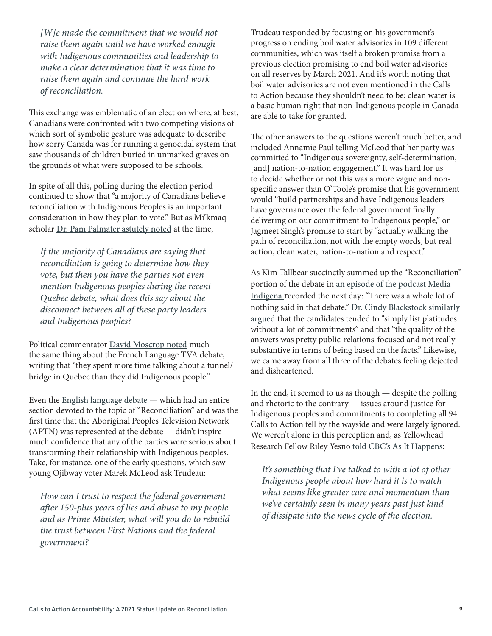[W]e made the commitment that we would not raise them again until we have worked enough with Indigenous communities and leadership to make a clear determination that it was time to raise them again and continue the hard work of reconciliation.

This exchange was emblematic of an election where, at best, Canadians were confronted with two competing visions of which sort of symbolic gesture was adequate to describe how sorry Canada was for running a genocidal system that saw thousands of children buried in unmarked graves on the grounds of what were supposed to be schools.

In spite of all this, polling during the election period continued to show that "a majority of Canadians believe reconciliation with Indigenous Peoples is an important consideration in how they plan to vote." But as Mi'kmaq scholar [Dr. Pam Palmater astutely noted](https://www.aptnnews.ca/videos/poll-finds-majority-of-canadians-believe-reconciliation-is-an-important-voting-consideration/) at the time,

If the majority of Canadians are saying that reconciliation is going to determine how they vote, but then you have the parties not even mention Indigenous peoples during the recent Quebec debate, what does this say about the disconnect between all of these party leaders and Indigenous peoples?

Political commentator [David Moscrop noted](https://vancouver.citynews.ca/2021/09/02/canada-federal-election-french-debate/) much the same thing about the French Language TVA debate, writing that "they spent more time talking about a tunnel/ bridge in Quebec than they did Indigenous people."

Even the [English language debate](https://www.rev.com/blog/transcripts/canada-federal-leaders-debate-justin-trudeau-2021-transcript/amp) — which had an entire section devoted to the topic of "Reconciliation" and was the first time that the Aboriginal Peoples Television Network (APTN) was represented at the debate — didn't inspire much confidence that any of the parties were serious about transforming their relationship with Indigenous peoples. Take, for instance, one of the early questions, which saw young Ojibway voter Marek McLeod ask Trudeau:

How can I trust to respect the federal government after 150-plus years of lies and abuse to my people and as Prime Minister, what will you do to rebuild the trust between First Nations and the federal government?

Trudeau responded by focusing on his government's progress on ending boil water advisories in 109 different communities, which was itself a broken promise from a previous election promising to end boil water advisories on all reserves by March 2021. And it's worth noting that boil water advisories are not even mentioned in the Calls to Action because they shouldn't need to be: clean water is a basic human right that non-Indigenous people in Canada are able to take for granted.

The other answers to the questions weren't much better, and included Annamie Paul telling McLeod that her party was committed to "Indigenous sovereignty, self-determination, [and] nation-to-nation engagement." It was hard for us to decide whether or not this was a more vague and nonspecific answer than O'Toole's promise that his government would "build partnerships and have Indigenous leaders have governance over the federal government finally delivering on our commitment to Indigenous people," or Jagmeet Singh's promise to start by "actually walking the path of reconciliation, not with the empty words, but real action, clean water, nation-to-nation and respect."

As Kim Tallbear succinctly summed up the "Reconciliation" portion of the debate in [an episode of the podcast Media](https://mediaindigena.libsyn.com/grave-concerns-ep-269)  [Indigena](https://mediaindigena.libsyn.com/grave-concerns-ep-269) recorded the next day: "There was a whole lot of nothing said in that debate." Dr. Cindy Blackstock similarly [argued](https://www.tvo.org/article/platitudes-without-a-lot-of-commitments-cindy-blackstock-on-the-leaders-debate-and-reconciliation) that the candidates tended to "simply list platitudes without a lot of commitments" and that "the quality of the answers was pretty public-relations-focused and not really substantive in terms of being based on the facts." Likewise, we came away from all three of the debates feeling dejected and disheartened.

In the end, it seemed to us as though — despite the polling and rhetoric to the contrary — issues around justice for Indigenous peoples and commitments to completing all 94 Calls to Action fell by the wayside and were largely ignored. We weren't alone in this perception and, as Yellowhead Research Fellow Riley Yesno [told CBC's As It Happens](https://www.cbc.ca/radio/asithappens/as-it-happens-the-tuesday-edition-1.6166913/anishinaabe-advocate-calls-on-canadians-to-put-their-allyship-into-action-at-the-polls-1.6166963):

It's something that I've talked to with a lot of other Indigenous people about how hard it is to watch what seems like greater care and momentum than we've certainly seen in many years past just kind of dissipate into the news cycle of the election.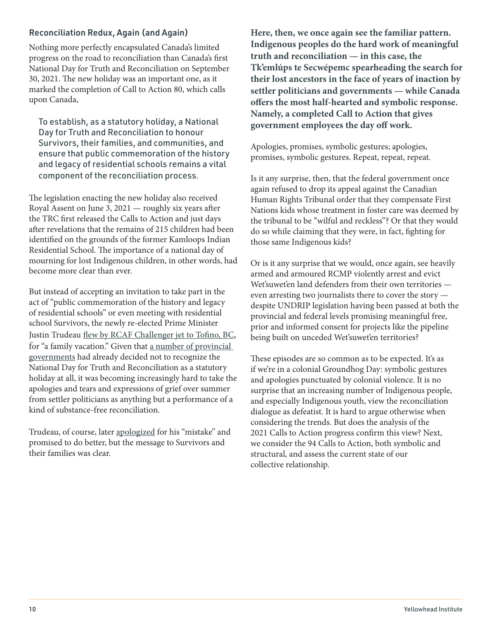### Reconciliation Redux, Again (and Again)

Nothing more perfectly encapsulated Canada's limited progress on the road to reconciliation than Canada's first National Day for Truth and Reconciliation on September 30, 2021. The new holiday was an important one, as it marked the completion of Call to Action 80, which calls upon Canada,

To establish, as a statutory holiday, a National Day for Truth and Reconciliation to honour Survivors, their families, and communities, and ensure that public commemoration of the history and legacy of residential schools remains a vital component of the reconciliation process.

The legislation enacting the new holiday also received Royal Assent on June 3, 2021 — roughly six years after the TRC first released the Calls to Action and just days after revelations that the remains of 215 children had been identified on the grounds of the former Kamloops Indian Residential School. The importance of a national day of mourning for lost Indigenous children, in other words, had become more clear than ever.

But instead of accepting an invitation to take part in the act of "public commemoration of the history and legacy of residential schools" or even meeting with residential school Survivors, the newly re-elected Prime Minister Justin Trudeau [flew by RCAF Challenger jet to Tofino, BC](https://www.thestar.com/politics/federal/2021/10/06/i-regret-it-justin-trudeau-apologizes-for-vacationing-on-national-day-for-truth-and-reconciliation.html), for "a family vacation." Given that [a number of provincial](https://www.aptnnews.ca/national-news/alberta-wont-recognize-national-day-for-truth-and-reconciliation-angering-advocates/)  [governments](https://www.aptnnews.ca/national-news/alberta-wont-recognize-national-day-for-truth-and-reconciliation-angering-advocates/) had already decided not to recognize the National Day for Truth and Reconciliation as a statutory holiday at all, it was becoming increasingly hard to take the apologies and tears and expressions of grief over summer from settler politicians as anything but a performance of a kind of substance-free reconciliation.

Trudeau, of course, later [apologized](http://thestar.com/politics/federal/2021/10/06/i-regret-it-justin-trudeau-apologizes-for-vacationing-on-national-day-for-truth-and-reconciliation.html) for his "mistake" and promised to do better, but the message to Survivors and their families was clear.

**Here, then, we once again see the familiar pattern. Indigenous peoples do the hard work of meaningful truth and reconciliation — in this case, the Tk'emlúps te Secwépemc spearheading the search for their lost ancestors in the face of years of inaction by settler politicians and governments — while Canada offers the most half-hearted and symbolic response. Namely, a completed Call to Action that gives government employees the day off work.** 

Apologies, promises, symbolic gestures; apologies, promises, symbolic gestures. Repeat, repeat, repeat.

Is it any surprise, then, that the federal government once again refused to drop its appeal against the Canadian Human Rights Tribunal order that they compensate First Nations kids whose treatment in foster care was deemed by the tribunal to be "wilful and reckless"? Or that they would do so while claiming that they were, in fact, fighting for those same Indigenous kids?

Or is it any surprise that we would, once again, see heavily armed and armoured RCMP violently arrest and evict Wet'suwet'en land defenders from their own territories even arresting two journalists there to cover the story despite UNDRIP legislation having been passed at both the provincial and federal levels promising meaningful free, prior and informed consent for projects like the pipeline being built on unceded Wet'suwet'en territories?

These episodes are so common as to be expected. It's as if we're in a colonial Groundhog Day: symbolic gestures and apologies punctuated by colonial violence. It is no surprise that an increasing number of Indigenous people, and especially Indigenous youth, view the reconciliation dialogue as defeatist. It is hard to argue otherwise when considering the trends. But does the analysis of the 2021 Calls to Action progress confirm this view? Next, we consider the 94 Calls to Action, both symbolic and structural, and assess the current state of our collective relationship.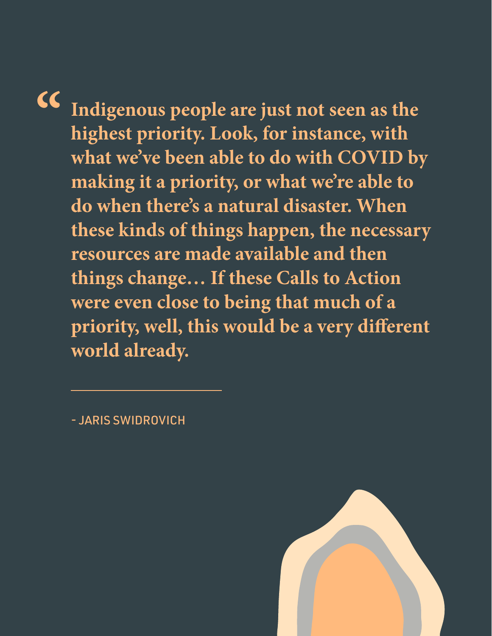**" Indigenous people are just not seen as the highest priority. Look, for instance, with what we've been able to do with COVID by making it a priority, or what we're able to do when there's a natural disaster. When these kinds of things happen, the necessary resources are made available and then things change… If these Calls to Action were even close to being that much of a priority, well, this would be a very different world already.**

- JARIS SWIDROVICH

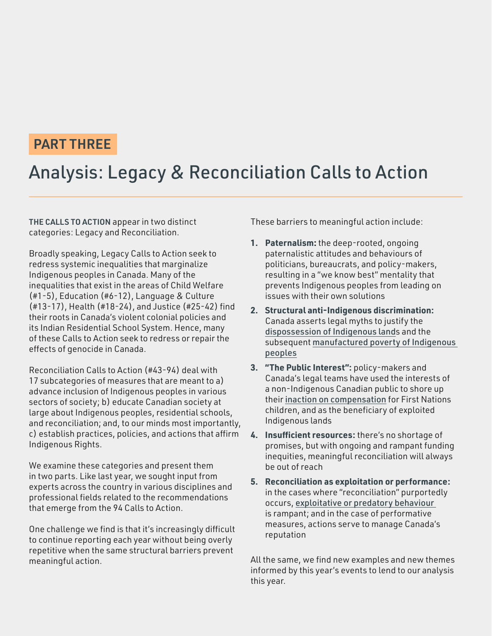### PART THREE

## Analysis: Legacy & Reconciliation Calls to Action

THE CALLS TO ACTION appear in two distinct categories: Legacy and Reconciliation.

Broadly speaking, Legacy Calls to Action seek to redress systemic inequalities that marginalize Indigenous peoples in Canada. Many of the inequalities that exist in the areas of Child Welfare (#1-5), Education (#6-12), Language & Culture (#13-17), Health (#18-24), and Justice (#25-42) find their roots in Canada's violent colonial policies and its Indian Residential School System. Hence, many of these Calls to Action seek to redress or repair the effects of genocide in Canada.

Reconciliation Calls to Action (#43-94) deal with 17 subcategories of measures that are meant to a) advance inclusion of Indigenous peoples in various sectors of society; b) educate Canadian society at large about Indigenous peoples, residential schools, and reconciliation; and, to our minds most importantly, c) establish practices, policies, and actions that affirm Indigenous Rights.

We examine these categories and present them in two parts. Like last year, we sought input from experts across the country in various disciplines and professional fields related to the recommendations that emerge from the 94 Calls to Action.

One challenge we find is that it's increasingly difficult to continue reporting each year without being overly repetitive when the same structural barriers prevent meaningful action.

These barriers to meaningful action include:

- **1. Paternalism:** the deep-rooted, ongoing paternalistic attitudes and behaviours of politicians, bureaucrats, and policy-makers, resulting in a "we know best" mentality that prevents Indigenous peoples from leading on issues with their own solutions
- **2. Structural anti-Indigenous discrimination:**  Canada asserts legal myths to justify the [dispossession of Indigenous land](https://redpaper.yellowheadinstitute.org/)s and the subsequent [manufactured poverty of Indigenous](https://cashback.yellowheadinstitute.org/)  [peoples](https://cashback.yellowheadinstitute.org/)
- **3. "The Public Interest":** policy-makers and Canada's legal teams have used the interests of a non-Indigenous Canadian public to shore up their [inaction on compensation](https://www.aptnnews.ca/national-news/federal-government-jumped-the-gun-by-appealing-human-rights-tribunal-compensation-ruling/) for First Nations children, and as the beneficiary of exploited Indigenous lands
- **4. Insufficient resources:** there's no shortage of promises, but with ongoing and rampant funding inequities, meaningful reconciliation will always be out of reach
- **5. Reconciliation as exploitation or performance:**  in the cases where "reconciliation" purportedly occurs, [exploitative or predatory behaviour](https://yellowheadinstitute.org/a-culture-of-exploitation-reconciliation-and-the-institutions-of-canadian-art/)  is rampant; and in the case of performative measures, actions serve to manage Canada's reputation

All the same, we find new examples and new themes informed by this year's events to lend to our analysis this year.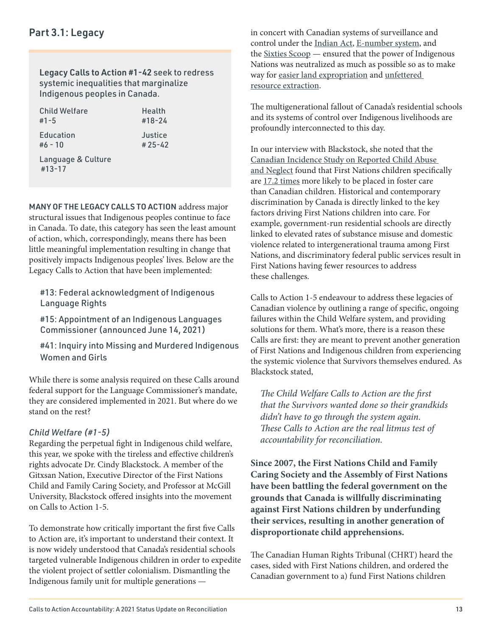### Part 3.1: Legacy

#13-17

Legacy Calls to Action #1-42 seek to redress systemic inequalities that marginalize Indigenous peoples in Canada.

| Child Welfare      | Health     |
|--------------------|------------|
| $#1 - 5$           | $#18 - 24$ |
| Education          | Justice    |
| $#6 - 10$          | $#25 - 42$ |
| Language & Culture |            |

MANY OF THE LEGACY CALLS TO ACTION address major structural issues that Indigenous peoples continue to face in Canada. To date, this category has seen the least amount of action, which, correspondingly, means there has been little meaningful implementation resulting in change that positively impacts Indigenous peoples' lives. Below are the Legacy Calls to Action that have been implemented:

#13: Federal acknowledgment of Indigenous Language Rights

#15: Appointment of an Indigenous Languages Commissioner (announced June 14, 2021)

#41: Inquiry into Missing and Murdered Indigenous Women and Girls

While there is some analysis required on these Calls around federal support for the Language Commissioner's mandate, they are considered implemented in 2021. But where do we stand on the rest?

### *Child Welfare (#1-5)*

Regarding the perpetual fight in Indigenous child welfare, this year, we spoke with the tireless and effective children's rights advocate Dr. Cindy Blackstock. A member of the Gitxsan Nation, Executive Director of the First Nations Child and Family Caring Society, and Professor at McGill University, Blackstock offered insights into the movement on Calls to Action 1-5.

To demonstrate how critically important the first five Calls to Action are, it's important to understand their context. It is now widely understood that Canada's residential schools targeted vulnerable Indigenous children in order to expedite the violent project of settler colonialism. Dismantling the Indigenous family unit for multiple generations —

in concert with Canadian systems of surveillance and control under the [Indian Act](https://indigenousfoundations.arts.ubc.ca/the_indian_act/), [E-number system](https://www.cbc.ca/news/canada/north/project-surname-inuit-names-nunavut-1.5747040#:~:text=Project%20Surname%2C%20a%20government%20program,Irniq%2C%20former%20commissioner%20of%20Nunavut.), and the [Sixties Scoop](https://indigenousfoundations.arts.ubc.ca/sixties_scoop/) — ensured that the power of Indigenous Nations was neutralized as much as possible so as to make way for [easier land expropriation](https://theintercept.com/2021/06/16/intercepted-mass-grave-kamloops-residential-school/) and [unfettered](https://cashback.yellowheadinstitute.org/)  [resource extraction](https://cashback.yellowheadinstitute.org/).

The multigenerational fallout of Canada's residential schools and its systems of control over Indigenous livelihoods are profoundly interconnected to this day.

In our interview with Blackstock, she noted that the [Canadian Incidence Study on Reported Child Abuse](https://cwrp.ca/canadian-incidence-study)  [and Neglect](https://cwrp.ca/canadian-incidence-study) found that First Nations children specifically are [17.2 times](https://cwrp.ca/sites/default/files/publications/FNCIS-2019%20-%20Denouncing%20the%20Continued%20Overrepresentation%20of%20First%20Nations%20Children%20in%20Canadian%20Child%20Welfare%20-%20Final_1%20%281%29.pdf) more likely to be placed in foster care than Canadian children. Historical and contemporary discrimination by Canada is directly linked to the key factors driving First Nations children into care. For example, government-run residential schools are directly linked to elevated rates of substance misuse and domestic violence related to intergenerational trauma among First Nations, and discriminatory federal public services result in First Nations having fewer resources to address these challenges.

Calls to Action 1-5 endeavour to address these legacies of Canadian violence by outlining a range of specific, ongoing failures within the Child Welfare system, and providing solutions for them. What's more, there is a reason these Calls are first: they are meant to prevent another generation of First Nations and Indigenous children from experiencing the systemic violence that Survivors themselves endured. As Blackstock stated,

The Child Welfare Calls to Action are the first that the Survivors wanted done so their grandkids didn't have to go through the system again. These Calls to Action are the real litmus test of accountability for reconciliation.

**Since 2007, the First Nations Child and Family Caring Society and the Assembly of First Nations have been battling the federal government on the grounds that Canada is willfully discriminating against First Nations children by underfunding their services, resulting in another generation of disproportionate child apprehensions.** 

The Canadian Human Rights Tribunal (CHRT) heard the cases, sided with First Nations children, and ordered the Canadian government to a) fund First Nations children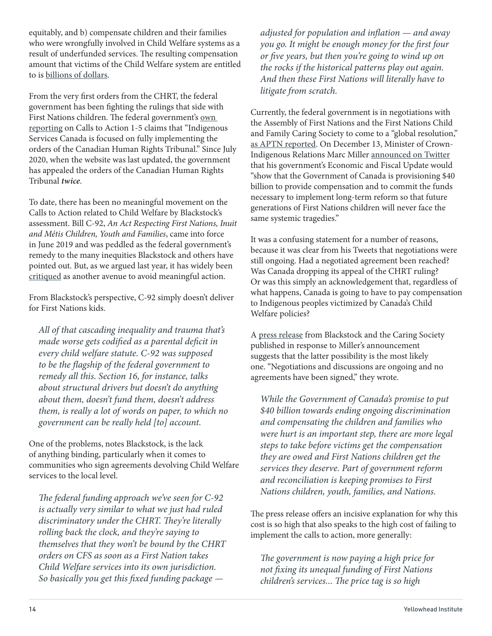equitably, and b) compensate children and their families who were wrongfully involved in Child Welfare systems as a result of underfunded services. The resulting compensation amount that victims of the Child Welfare system are entitled to is [billions of dollars](https://www.cbc.ca/news/politics/federal-court-decision-human-rights-tribunal-child-welfare-1.6074346).

From the very first orders from the CHRT, the federal government has been fighting the rulings that side with First Nations children. The federal government's [own](https://www.rcaanc-cirnac.gc.ca/eng/1524494379788/1557513026413)  [reporting](https://www.rcaanc-cirnac.gc.ca/eng/1524494379788/1557513026413) on Calls to Action 1-5 claims that "Indigenous Services Canada is focused on fully implementing the orders of the Canadian Human Rights Tribunal." Since July 2020, when the website was last updated, the government has appealed the orders of the Canadian Human Rights Tribunal **twice**.

To date, there has been no meaningful movement on the Calls to Action related to Child Welfare by Blackstock's assessment. Bill C-92, An Act Respecting First Nations, Inuit and Métis Children, Youth and Families, came into force in June 2019 and was peddled as the federal government's remedy to the many inequities Blackstock and others have pointed out. But, as we argued last year, it has widely been [critiqued](https://yellowheadinstitute.org/wp-content/uploads/2019/07/the-promise-and-pitfalls-of-c-92-report.pdf) as another avenue to avoid meaningful action.

From Blackstock's perspective, C-92 simply doesn't deliver for First Nations kids.

All of that cascading inequality and trauma that's made worse gets codified as a parental deficit in every child welfare statute. C-92 was supposed to be the flagship of the federal government to remedy all this. Section 16, for instance, talks about structural drivers but doesn't do anything about them, doesn't fund them, doesn't address them, is really a lot of words on paper, to which no government can be really held [to] account.

One of the problems, notes Blackstock, is the lack of anything binding, particularly when it comes to communities who sign agreements devolving Child Welfare services to the local level.

The federal funding approach we've seen for C-92 is actually very similar to what we just had ruled discriminatory under the CHRT. They're literally rolling back the clock, and they're saying to themselves that they won't be bound by the CHRT orders on CFS as soon as a First Nation takes Child Welfare services into its own jurisdiction. So basically you get this fixed funding package —

adjusted for population and inflation — and away you go. It might be enough money for the first four or five years, but then you're going to wind up on the rocks if the historical patterns play out again. And then these First Nations will literally have to litigate from scratch.

Currently, the federal government is in negotiations with the Assembly of First Nations and the First Nations Child and Family Caring Society to come to a "global resolution," [as APTN reported](https://www.aptnnews.ca/national-news/can-5-weeks-of-talks-settle-a-14-year-battle-over-child-welfare-heres-what-has-to-happen/). On December 13, Minister of Crown-Indigenous Relations Marc Miller [announced on Twitter](https://twitter.com/MarcMillerVM/status/1470495747770662915) that his government's Economic and Fiscal Update would "show that the Government of Canada is provisioning \$40 billion to provide compensation and to commit the funds necessary to implement long-term reform so that future generations of First Nations children will never face the same systemic tragedies."

It was a confusing statement for a number of reasons, because it was clear from his Tweets that negotiations were still ongoing. Had a negotiated agreement been reached? Was Canada dropping its appeal of the CHRT ruling? Or was this simply an acknowledgement that, regardless of what happens, Canada is going to have to pay compensation to Indigenous peoples victimized by Canada's Child Welfare policies?

A [press release](https://fncaringsociety.com/sites/default/files/the_caring_society_statement_december_13_2021.pdf) from Blackstock and the Caring Society published in response to Miller's announcement suggests that the latter possibility is the most likely one. "Negotiations and discussions are ongoing and no agreements have been signed," they wrote.

While the Government of Canada's promise to put \$40 billion towards ending ongoing discrimination and compensating the children and families who were hurt is an important step, there are more legal steps to take before victims get the compensation they are owed and First Nations children get the services they deserve. Part of government reform and reconciliation is keeping promises to First Nations children, youth, families, and Nations.

The press release offers an incisive explanation for why this cost is so high that also speaks to the high cost of failing to implement the calls to action, more generally:

The government is now paying a high price for not fixing its unequal funding of First Nations children's services... The price tag is so high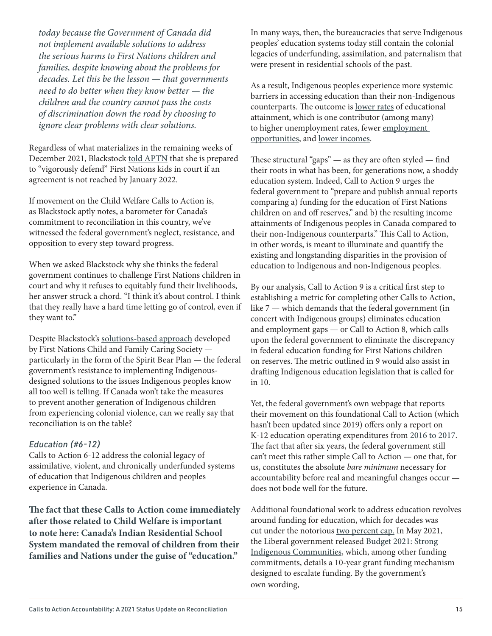today because the Government of Canada did not implement available solutions to address the serious harms to First Nations children and families, despite knowing about the problems for decades. Let this be the lesson — that governments need to do better when they know better — the children and the country cannot pass the costs of discrimination down the road by choosing to ignore clear problems with clear solutions.

Regardless of what materializes in the remaining weeks of December 2021, Blackstock [told APTN](https://www.aptnnews.ca/national-news/can-5-weeks-of-talks-settle-a-14-year-battle-over-child-welfare-heres-what-has-to-happen/) that she is prepared to "vigorously defend" First Nations kids in court if an agreement is not reached by January 2022.

If movement on the Child Welfare Calls to Action is, as Blackstock aptly notes, a barometer for Canada's commitment to reconciliation in this country, we've witnessed the federal government's neglect, resistance, and opposition to every step toward progress.

When we asked Blackstock why she thinks the federal government continues to challenge First Nations children in court and why it refuses to equitably fund their livelihoods, her answer struck a chord. "I think it's about control. I think that they really have a hard time letting go of control, even if they want to."

Despite Blackstock's [solutions-based approach](https://fncaringsociety.com/spirit-bear-plan) developed by First Nations Child and Family Caring Society particularly in the form of the Spirit Bear Plan — the federal government's resistance to implementing Indigenousdesigned solutions to the issues Indigenous peoples know all too well is telling. If Canada won't take the measures to prevent another generation of Indigenous children from experiencing colonial violence, can we really say that reconciliation is on the table?

### *Education (#6-12)*

Calls to Action 6-12 address the colonial legacy of assimilative, violent, and chronically underfunded systems of education that Indigenous children and peoples experience in Canada.

**The fact that these Calls to Action come immediately after those related to Child Welfare is important to note here: Canada's Indian Residential School System mandated the removal of children from their families and Nations under the guise of "education."** 

In many ways, then, the bureaucracies that serve Indigenous peoples' education systems today still contain the colonial legacies of underfunding, assimilation, and paternalism that were present in residential schools of the past.

As a result, Indigenous peoples experience more systemic barriers in accessing education than their non-Indigenous counterparts. The outcome is [lower rates](https://www.canada.ca/en/indigenous-services-canada/news/2018/01/quality_education.html) of educational attainment, which is one contributor (among many) to higher unemployment rates, fewer [employment](https://crsp.journals.yorku.ca/index.php/crsp/article/view/40341/36503)  [opportunities](https://crsp.journals.yorku.ca/index.php/crsp/article/view/40341/36503), and [lower incomes](https://www.canada.ca/en/employment-social-development/corporate/reports/research/education-training-indigenous.html).

These structural "gaps"  $-$  as they are often styled  $-$  find their roots in what has been, for generations now, a shoddy education system. Indeed, Call to Action 9 urges the federal government to "prepare and publish annual reports comparing a) funding for the education of First Nations children on and off reserves," and b) the resulting income attainments of Indigenous peoples in Canada compared to their non-Indigenous counterparts." This Call to Action, in other words, is meant to illuminate and quantify the existing and longstanding disparities in the provision of education to Indigenous and non-Indigenous peoples.

By our analysis, Call to Action 9 is a critical first step to establishing a metric for completing other Calls to Action, like 7 — which demands that the federal government (in concert with Indigenous groups) eliminates education and employment gaps — or Call to Action 8, which calls upon the federal government to eliminate the discrepancy in federal education funding for First Nations children on reserves. The metric outlined in 9 would also assist in drafting Indigenous education legislation that is called for in 10.

Yet, the federal government's own webpage that reports their movement on this foundational Call to Action (which hasn't been updated since 2019) offers only a report on K-12 education operating expenditures from [2016 to 2017](https://www.rcaanc-cirnac.gc.ca/eng/1524495412051/1557511602225). The fact that after six years, the federal government still can't meet this rather simple Call to Action — one that, for us, constitutes the absolute bare minimum necessary for accountability before real and meaningful changes occur does not bode well for the future.

Additional foundational work to address education revolves around funding for education, which for decades was cut under the notorious [two percent cap.](https://www.afn.ca/uploads/files/education/fact_sheet_-_fn_education_funding_final.pdf) In May 2021, the Liberal government released [Budget 2021: Strong](https://www.canada.ca/en/department-finance/news/2021/04/budget-2021-strong-indigenous-communities.html)  [Indigenous Communities](https://www.canada.ca/en/department-finance/news/2021/04/budget-2021-strong-indigenous-communities.html), which, among other funding commitments, details a 10-year grant funding mechanism designed to escalate funding. By the government's own wording,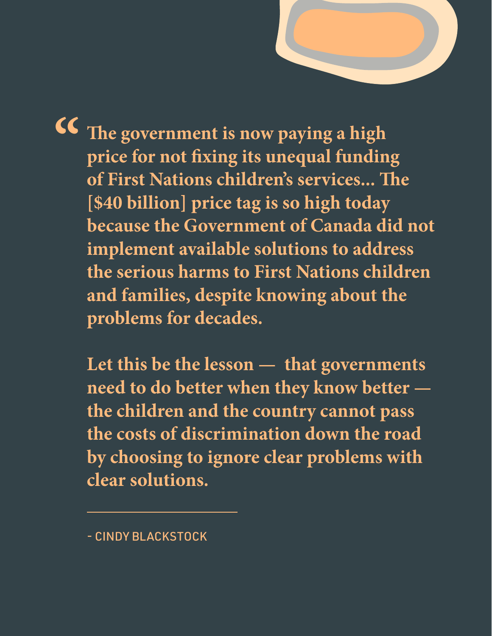**The government is now paying a high price for not fixing its unequal funding of First Nations children's services... The [\$40 billion] price tag is so high today because the Government of Canada did not implement available solutions to address the serious harms to First Nations children and families, despite knowing about the problems for decades. "**

**Five years, we believe, is more than enough time to test the strength and meaningfulness of that commitment. And, unfortunately, Canada has fallen far short of these commitments and has, by any reasonable metric, received a failing grade when it comes to the 94** 

> **Let this be the lesson — that governments need to do better when they know better the children and the country cannot pass the costs of discrimination down the road by choosing to ignore clear problems with clear solutions.**

- CINDY BLACKSTOCK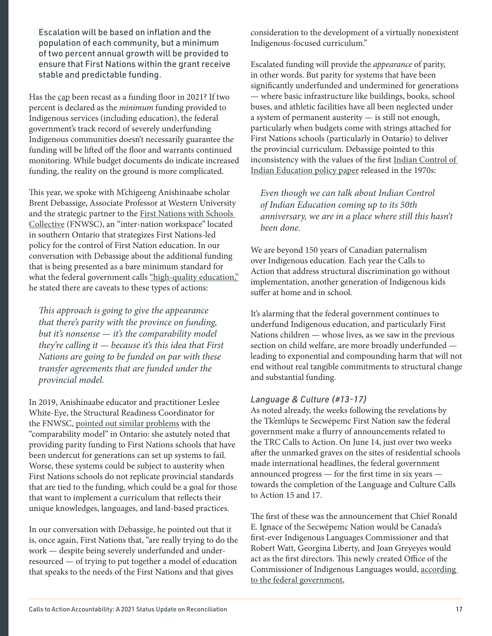Escalation will be based on inflation and the population of each community, but a minimum of two percent annual growth will be provided to ensure that First Nations within the grant receive stable and predictable funding.

Has the [cap](https://www.afn.ca/uploads/files/education/fact_sheet_-_fn_education_funding_final.pdf) been recast as a funding floor in 2021? If two percent is declared as the minimum funding provided to Indigenous services (including education), the federal government's track record of severely underfunding Indigenous communities doesn't necessarily guarantee the funding will be lifted off the floor and warrants continued monitoring. While budget documents do indicate increased funding, the reality on the ground is more complicated.

This year, we spoke with M'chigeeng Anishinaabe scholar Brent Debassige, Associate Professor at Western University and the strategic partner to the [First Nations with Schools](https://www.fnwsceducation.com/apps/pages/index.jsp?uREC_ID=1121204&type=d&pREC_ID=1381062)  [Collective](https://www.fnwsceducation.com/apps/pages/index.jsp?uREC_ID=1121204&type=d&pREC_ID=1381062) (FNWSC), an "inter-nation workspace" located in southern Ontario that strategizes First Nations-led policy for the control of First Nation education. In our conversation with Debassige about the additional funding that is being presented as a bare minimum standard for what the federal government calls ["high-quality education,"](https://www.canada.ca/en/department-finance/news/2021/04/budget-2021-strong-indigenous-communities.html) he stated there are caveats to these types of actions:

This approach is going to give the appearance that there's parity with the province on funding, but it's nonsense  $-$  it's the comparability model they're calling it  $-$  because it's this idea that First Nations are going to be funded on par with these transfer agreements that are funded under the provincial model.

In 2019, Anishinaabe educator and practitioner Leslee White-Eye, the Structural Readiness Coordinator for the FNWSC, [pointed out similar problems](https://yellowheadinstitute.org/wp-content/uploads/2019/04/education-and-crown-paternalism-leslee-white-eye.pdf) with the "comparability model" in Ontario: she astutely noted that providing parity funding to First Nations schools that have been undercut for generations can set up systems to fail. Worse, these systems could be subject to austerity when First Nations schools do not replicate provincial standards that are tied to the funding, which could be a goal for those that want to implement a curriculum that reflects their unique knowledges, languages, and land-based practices.

In our conversation with Debassige, he pointed out that it is, once again, First Nations that, "are really trying to do the work — despite being severely underfunded and underresourced — of trying to put together a model of education that speaks to the needs of the First Nations and that gives

consideration to the development of a virtually nonexistent Indigenous-focused curriculum."

Escalated funding will provide the appearance of parity, in other words. But parity for systems that have been significantly underfunded and undermined for generations — where basic infrastructure like buildings, books, school buses, and athletic facilities have all been neglected under a system of permanent austerity — is still not enough, particularly when budgets come with strings attached for First Nations schools (particularly in Ontario) to deliver the provincial curriculum. Debassige pointed to this inconsistency with the values of the first [Indian Control of](https://oneca.com/IndianControlofIndianEducation.pdf)  [Indian Education policy paper](https://oneca.com/IndianControlofIndianEducation.pdf) released in the 1970s:

Even though we can talk about Indian Control of Indian Education coming up to its 50th anniversary, we are in a place where still this hasn't been done.

We are beyond 150 years of Canadian paternalism over Indigenous education. Each year the Calls to Action that address structural discrimination go without implementation, another generation of Indigenous kids suffer at home and in school.

It's alarming that the federal government continues to underfund Indigenous education, and particularly First Nations children — whose lives, as we saw in the previous section on child welfare, are more broadly underfunded leading to exponential and compounding harm that will not end without real tangible commitments to structural change and substantial funding.

### *Language & Culture (#13-17)*

As noted already, the weeks following the revelations by the Tk'emlúps te Secwépemc First Nation saw the federal government make a flurry of announcements related to the TRC Calls to Action. On June 14, just over two weeks after the unmarked graves on the sites of residential schools made international headlines, the federal government announced progress — for the first time in six years towards the completion of the Language and Culture Calls to Action 15 and 17.

The first of these was the announcement that Chief Ronald E. Ignace of the Secwépemc Nation would be Canada's first-ever Indigenous Languages Commissioner and that Robert Watt, Georgina Liberty, and Joan Greyeyes would act as the first directors. This newly created Office of the Commissioner of Indigenous Languages would, [according](https://www.canada.ca/en/canadian-heritage/news/2021/06/the-first-commissioner-and-directors-of-indigenous-languages-are-appointed.html)  [to the federal government](https://www.canada.ca/en/canadian-heritage/news/2021/06/the-first-commissioner-and-directors-of-indigenous-languages-are-appointed.html),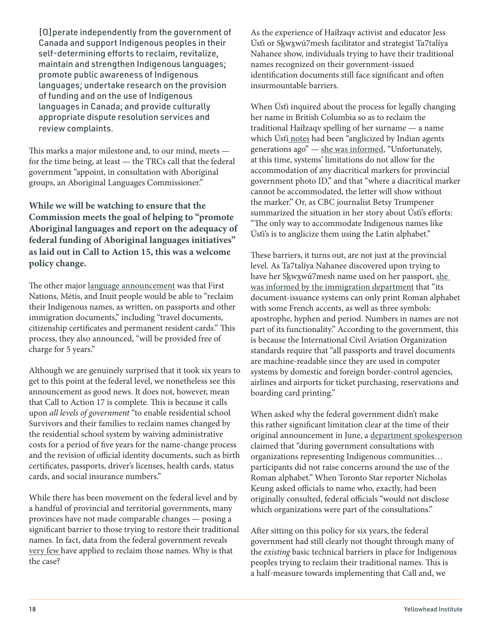[O]perate independently from the government of Canada and support Indigenous peoples in their self-determining efforts to reclaim, revitalize, maintain and strengthen Indigenous languages; promote public awareness of Indigenous languages; undertake research on the provision of funding and on the use of Indigenous languages in Canada; and provide culturally appropriate dispute resolution services and review complaints.

This marks a major milestone and, to our mind, meets for the time being, at least — the TRCs call that the federal government "appoint, in consultation with Aboriginal groups, an Aboriginal Languages Commissioner."

**While we will be watching to ensure that the Commission meets the goal of helping to "promote Aboriginal languages and report on the adequacy of federal funding of Aboriginal languages initiatives" as laid out in Call to Action 15, this was a welcome policy change.**

The other major [language announcement](https://www.canada.ca/en/immigration-refugees-citizenship/news/2021/06/minister-mendicino-minister-bennett-and-minister-miller-announce-that-indigenous-peoples-can-now-reclaim-their-traditional-names-on-immigration-ide.html) was that First Nations, Métis, and Inuit people would be able to "reclaim their Indigenous names, as written, on passports and other immigration documents," including "travel documents, citizenship certificates and permanent resident cards." This process, they also announced, "will be provided free of charge for 5 years."

Although we are genuinely surprised that it took six years to get to this point at the federal level, we nonetheless see this announcement as good news. It does not, however, mean that Call to Action 17 is complete. This is because it calls upon all levels of government "to enable residential school Survivors and their families to reclaim names changed by the residential school system by waiving administrative costs for a period of five years for the name-change process and the revision of official identity documents, such as birth certificates, passports, driver's licenses, health cards, status cards, and social insurance numbers."

While there has been movement on the federal level and by a handful of provincial and territorial governments, many provinces have not made comparable changes — posing a significant barrier to those trying to restore their traditional names. In fact, data from the federal government reveals [very few](https://www.thestar.com/news/canada/2021/08/28/why-canada-cant-print-this-womans-name-on-a-passport.html) have applied to reclaim those names. Why is that the case?

As the experience of Haíłzaqv activist and educator Jess Úsťi or Skwxwú7mesh facilitator and strategist Ta7talíya Nahanee show, individuals trying to have their traditional names recognized on their government-issued identification documents still face significant and often insurmountable barriers.

When Úsťi inquired about the process for legally changing her name in British Columbia so as to reclaim the traditional Haíłzaqv spelling of her surname — a name which Úsťi [notes](https://twitter.com/JessHausti/status/1403043827837898753?s=20) had been "anglicized by Indian agents generations ago" — [she was informed](https://www.cbc.ca/news/canada/british-columbia/heiltsuk-nation-indigenous-name-bc-government-identification-1.6093186), "Unfortunately, at this time, systems' limitations do not allow for the accommodation of any diacritical markers for provincial government photo ID," and that "where a diacritical marker cannot be accommodated, the letter will show without the marker." Or, as CBC journalist Betsy Trumpener summarized the situation in her story about Úsťi's efforts: "The only way to accommodate Indigenous names like Úsťi's is to anglicize them using the Latin alphabet."

These barriers, it turns out, are not just at the provincial level. As Ta7talíya Nahanee discovered upon trying to have her Skwxwú7mesh name used on her passport, she [was informed by the immigration department](https://www.thestar.com/news/canada/2021/08/28/why-canada-cant-print-this-womans-name-on-a-passport.html) that "its document-issuance systems can only print Roman alphabet with some French accents, as well as three symbols: apostrophe, hyphen and period. Numbers in names are not part of its functionality." According to the government, this is because the International Civil Aviation Organization standards require that "all passports and travel documents are machine-readable since they are used in computer systems by domestic and foreign border-control agencies, airlines and airports for ticket purchasing, reservations and boarding card printing."

When asked why the federal government didn't make this rather significant limitation clear at the time of their original announcement in June, a [department spokesperson](https://www.thestar.com/news/canada/2021/08/28/why-canada-cant-print-this-womans-name-on-a-passport.html) claimed that "during government consultations with organizations representing Indigenous communities… participants did not raise concerns around the use of the Roman alphabet." When Toronto Star reporter Nicholas Keung asked officials to name who, exactly, had been originally consulted, federal officials "would not disclose which organizations were part of the consultations."

After sitting on this policy for six years, the federal government had still clearly not thought through many of the existing basic technical barriers in place for Indigenous peoples trying to reclaim their traditional names. This is a half-measure towards implementing that Call and, we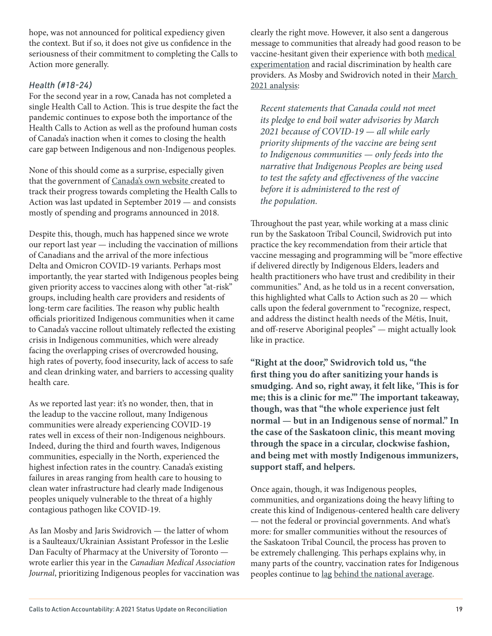hope, was not announced for political expediency given the context. But if so, it does not give us confidence in the seriousness of their commitment to completing the Calls to Action more generally.

### *Health (#18-24)*

For the second year in a row, Canada has not completed a single Health Call to Action. This is true despite the fact the pandemic continues to expose both the importance of the Health Calls to Action as well as the profound human costs of Canada's inaction when it comes to closing the health care gap between Indigenous and non-Indigenous peoples.

None of this should come as a surprise, especially given that the government of [Canada's own website](https://www.rcaanc-cirnac.gc.ca/eng/1524499024614/1557512659251) created to track their progress towards completing the Health Calls to Action was last updated in September 2019 — and consists mostly of spending and programs announced in 2018.

Despite this, though, much has happened since we wrote our report last year — including the vaccination of millions of Canadians and the arrival of the more infectious Delta and Omicron COVID-19 variants. Perhaps most importantly, the year started with Indigenous peoples being given priority access to vaccines along with other "at-risk" groups, including health care providers and residents of long-term care facilities. The reason why public health officials prioritized Indigenous communities when it came to Canada's vaccine rollout ultimately reflected the existing crisis in Indigenous communities, which were already facing the overlapping crises of overcrowded housing, high rates of poverty, food insecurity, lack of access to safe and clean drinking water, and barriers to accessing quality health care.

As we reported last year: it's no wonder, then, that in the leadup to the vaccine rollout, many Indigenous communities were already experiencing COVID-19 rates well in excess of their non-Indigenous neighbours. Indeed, during the third and fourth waves, Indigenous communities, especially in the North, experienced the highest infection rates in the country. Canada's existing failures in areas ranging from health care to housing to clean water infrastructure had clearly made Indigenous peoples uniquely vulnerable to the threat of a highly contagious pathogen like COVID-19.

As Ian Mosby and Jaris Swidrovich — the latter of whom is a Saulteaux/Ukrainian Assistant Professor in the Leslie Dan Faculty of Pharmacy at the University of Toronto wrote earlier this year in the Canadian Medical Association Journal, prioritizing Indigenous peoples for vaccination was clearly the right move. However, it also sent a dangerous message to communities that already had good reason to be vaccine-hesitant given their experience with both [medical](https://globalnews.ca/news/4202373/indigenous-people-medical-experiments-canada-class-action-lawsuit/)  [experimentation](https://globalnews.ca/news/4202373/indigenous-people-medical-experiments-canada-class-action-lawsuit/) and racial discrimination by health care providers. As Mosby and Swidrovich noted in their [March](https://www.cmaj.ca/content/193/11/E381)  [2021 analysis](https://www.cmaj.ca/content/193/11/E381):

Recent statements that Canada could not meet its pledge to end boil water advisories by March 2021 because of COVID-19 — all while early priority shipments of the vaccine are being sent to Indigenous communities — only feeds into the narrative that Indigenous Peoples are being used to test the safety and effectiveness of the vaccine before it is administered to the rest of the population.

Throughout the past year, while working at a mass clinic run by the Saskatoon Tribal Council, Swidrovich put into practice the key recommendation from their article that vaccine messaging and programming will be "more effective if delivered directly by Indigenous Elders, leaders and health practitioners who have trust and credibility in their communities." And, as he told us in a recent conversation, this highlighted what Calls to Action such as 20 — which calls upon the federal government to "recognize, respect, and address the distinct health needs of the Métis, Inuit, and off-reserve Aboriginal peoples" — might actually look like in practice.

**"Right at the door," Swidrovich told us, "the first thing you do after sanitizing your hands is smudging. And so, right away, it felt like, 'This is for me; this is a clinic for me.'" The important takeaway, though, was that "the whole experience just felt normal — but in an Indigenous sense of normal." In the case of the Saskatoon clinic, this meant moving through the space in a circular, clockwise fashion, and being met with mostly Indigenous immunizers, support staff, and helpers.** 

Once again, though, it was Indigenous peoples, communities, and organizations doing the heavy lifting to create this kind of Indigenous-centered health care delivery — not the federal or provincial governments. And what's more: for smaller communities without the resources of the Saskatoon Tribal Council, the process has proven to be extremely challenging. This perhaps explains why, in many parts of the country, vaccination rates for Indigenous peoples continue to [lag](https://www.thestar.com/news/gta/2021/11/04/theyre-going-to-be-exposed-low-vaccination-rates-in-toronto-indigenous-communities-raise-fears-for-winter.html) [behind the national average](https://www.fnha.ca/about/news-and-events/news/covid-19-vaccination-numbers-add-up-to-a-concern-for-first-nations-population).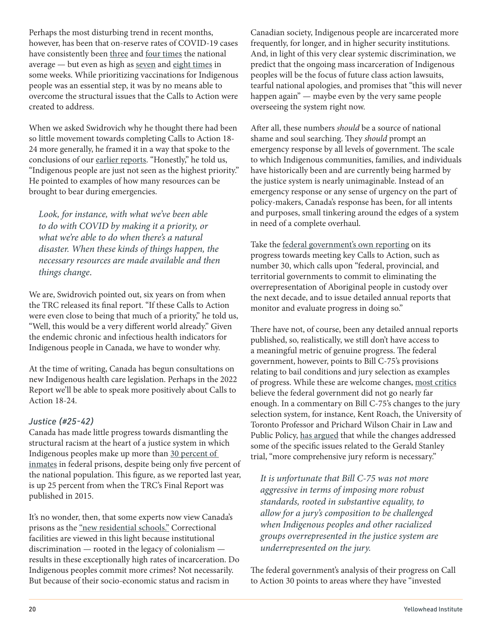Perhaps the most disturbing trend in recent months, however, has been that on-reserve rates of COVID-19 cases have consistently been [three](https://twitter.com/CPHO_Canada/status/1441390729037819906/photo/1) and [four times](https://twitter.com/CPHO_Canada/status/1460715442440441861) the national average — but even as high as [seven](https://twitter.com/CPHO_Canada/status/1466445237614780418/photo/1) and [eight times](https://twitter.com/CPHO_Canada/status/1453391304877125635) in some weeks. While prioritizing vaccinations for Indigenous people was an essential step, it was by no means able to overcome the structural issues that the Calls to Action were created to address.

When we asked Swidrovich why he thought there had been so little movement towards completing Calls to Action 18- 24 more generally, he framed it in a way that spoke to the conclusions of our [earlier reports](https://yellowheadinstitute.org/wp-content/uploads/2020/12/yi-trc-calls-to-action-update-full-report-2020.pdf). "Honestly," he told us, "Indigenous people are just not seen as the highest priority." He pointed to examples of how many resources can be brought to bear during emergencies.

Look, for instance, with what we've been able to do with COVID by making it a priority, or what we're able to do when there's a natural disaster. When these kinds of things happen, the necessary resources are made available and then things change.

We are, Swidrovich pointed out, six years on from when the TRC released its final report. "If these Calls to Action were even close to being that much of a priority," he told us, "Well, this would be a very different world already." Given the endemic chronic and infectious health indicators for Indigenous people in Canada, we have to wonder why.

At the time of writing, Canada has begun consultations on new Indigenous health care legislation. Perhaps in the 2022 Report we'll be able to speak more positively about Calls to Action 18-24.

### *Justice (#25-42)*

Canada has made little progress towards dismantling the structural racism at the heart of a justice system in which Indigenous peoples make up more than [30 percent of](https://www.canada.ca/en/public-safety-canada/news/2020/01/indigenous-people-in-federal-custody-surpasses-30-correctional-investigator-issues-statement-and-challenge.html)  [inmates](https://www.canada.ca/en/public-safety-canada/news/2020/01/indigenous-people-in-federal-custody-surpasses-30-correctional-investigator-issues-statement-and-challenge.html) in federal prisons, despite being only five percent of the national population. This figure, as we reported last year, is up 25 percent from when the TRC's Final Report was published in 2015.

It's no wonder, then, that some experts now view Canada's prisons as the ["new residential schools."](https://www.macleans.ca/news/canada/canadas-prisons-are-the-new-residential-schools/) Correctional facilities are viewed in this light because institutional discrimination — rooted in the legacy of colonialism results in these exceptionally high rates of incarceration. Do Indigenous peoples commit more crimes? Not necessarily. But because of their socio-economic status and racism in

Canadian society, Indigenous people are incarcerated more frequently, for longer, and in higher security institutions. And, in light of this very clear systemic discrimination, we predict that the ongoing mass incarceration of Indigenous peoples will be the focus of future class action lawsuits, tearful national apologies, and promises that "this will never happen again" — maybe even by the very same people overseeing the system right now.

After all, these numbers should be a source of national shame and soul searching. They should prompt an emergency response by all levels of government. The scale to which Indigenous communities, families, and individuals have historically been and are currently being harmed by the justice system is nearly unimaginable. Instead of an emergency response or any sense of urgency on the part of policy-makers, Canada's response has been, for all intents and purposes, small tinkering around the edges of a system in need of a complete overhaul.

Take the [federal government's own reporting](https://www.rcaanc-cirnac.gc.ca/eng/1524502695174/1557513515931) on its progress towards meeting key Calls to Action, such as number 30, which calls upon "federal, provincial, and territorial governments to commit to eliminating the overrepresentation of Aboriginal people in custody over the next decade, and to issue detailed annual reports that monitor and evaluate progress in doing so."

There have not, of course, been any detailed annual reports published, so, realistically, we still don't have access to a meaningful metric of genuine progress. The federal government, however, points to Bill C-75's provisions relating to bail conditions and jury selection as examples of progress. While these are welcome changes, [most critics](https://saskatoon.ctvnews.ca/family-supporters-of-colten-boushie-still-seeking-radical-change-to-justice-system-1.5305935) believe the federal government did not go nearly far enough. In a commentary on Bill C-75's changes to the jury selection system, for instance, Kent Roach, the University of Toronto Professor and Prichard Wilson Chair in Law and Public Policy, [has argued](https://cbr.cba.org/index.php/cbr/article/view/4615/4481) that while the changes addressed some of the specific issues related to the Gerald Stanley trial, "more comprehensive jury reform is necessary."

It is unfortunate that Bill C-75 was not more aggressive in terms of imposing more robust standards, rooted in substantive equality, to allow for a jury's composition to be challenged when Indigenous peoples and other racialized groups overrepresented in the justice system are underrepresented on the jury.

The federal government's analysis of their progress on Call to Action 30 points to areas where they have "invested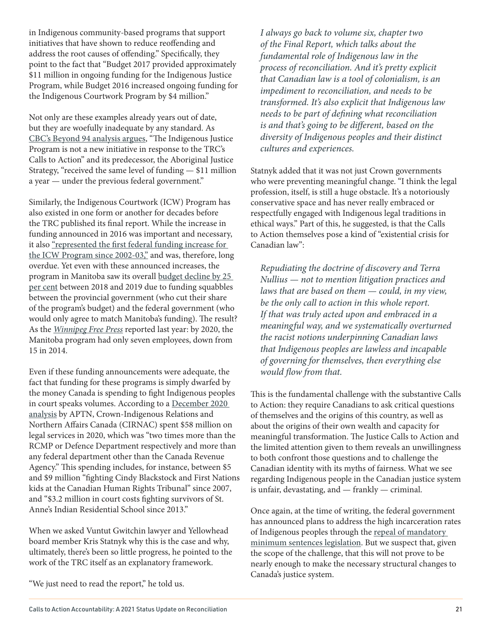in Indigenous community-based programs that support initiatives that have shown to reduce reoffending and address the root causes of offending." Specifically, they point to the fact that "Budget 2017 provided approximately \$11 million in ongoing funding for the Indigenous Justice Program, while Budget 2016 increased ongoing funding for the Indigenous Courtwork Program by \$4 million."

Not only are these examples already years out of date, but they are woefully inadequate by any standard. As [CBC's Beyond 94 analysis argues](https://newsinteractives.cbc.ca/longform-single/beyond-94?&cta=30), "The Indigenous Justice Program is not a new initiative in response to the TRC's Calls to Action" and its predecessor, the Aboriginal Justice Strategy, "received the same level of funding — \$11 million a year — under the previous federal government."

Similarly, the Indigenous Courtwork (ICW) Program has also existed in one form or another for decades before the TRC published its final report. While the increase in funding announced in 2016 was important and necessary, it also ["represented the first federal funding increase for](https://www.justice.gc.ca/eng/rp-pr/cp-pm/eval/rep-rap/2018/icp-papa/p5.html)  [the ICW Program since 2002-03,"](https://www.justice.gc.ca/eng/rp-pr/cp-pm/eval/rep-rap/2018/icp-papa/p5.html) and was, therefore, long overdue. Yet even with these announced increases, the program in Manitoba saw its overall [budget decline by 25](https://www.winnipegfreepress.com/local/nobodys-helping-them-manitobas-indigenous-courtworker-program-on-decline-567820142.html)  [per cent](https://www.winnipegfreepress.com/local/nobodys-helping-them-manitobas-indigenous-courtworker-program-on-decline-567820142.html) between 2018 and 2019 due to funding squabbles between the provincial government (who cut their share of the program's budget) and the federal government (who would only agree to match Manitoba's funding). The result? As the [Winnipeg Free Press](https://www.winnipegfreepress.com/local/nobodys-helping-them-manitobas-indigenous-courtworker-program-on-decline-567820142.html) reported last year: by 2020, the Manitoba program had only seven employees, down from 15 in 2014.

Even if these funding announcements were adequate, the fact that funding for these programs is simply dwarfed by the money Canada is spending to fight Indigenous peoples in court speaks volumes. According to a [December 2020](https://www.aptnnews.ca/national-news/trudeau-spent-nearly-100m-fighting-first-nations-in-court-during-first-years-in-power/)  [analysis](https://www.aptnnews.ca/national-news/trudeau-spent-nearly-100m-fighting-first-nations-in-court-during-first-years-in-power/) by APTN, Crown-Indigenous Relations and Northern Affairs Canada (CIRNAC) spent \$58 million on legal services in 2020, which was "two times more than the RCMP or Defence Department respectively and more than any federal department other than the Canada Revenue Agency." This spending includes, for instance, between \$5 and \$9 million "fighting Cindy Blackstock and First Nations kids at the Canadian Human Rights Tribunal" since 2007, and "\$3.2 million in court costs fighting survivors of St. Anne's Indian Residential School since 2013."

When we asked Vuntut Gwitchin lawyer and Yellowhead board member Kris Statnyk why this is the case and why, ultimately, there's been so little progress, he pointed to the work of the TRC itself as an explanatory framework.

"We just need to read the report," he told us.

I always go back to volume six, chapter two of the Final Report, which talks about the fundamental role of Indigenous law in the process of reconciliation. And it's pretty explicit that Canadian law is a tool of colonialism, is an impediment to reconciliation, and needs to be transformed. It's also explicit that Indigenous law needs to be part of defining what reconciliation is and that's going to be different, based on the diversity of Indigenous peoples and their distinct cultures and experiences.

Statnyk added that it was not just Crown governments who were preventing meaningful change. "I think the legal profession, itself, is still a huge obstacle. It's a notoriously conservative space and has never really embraced or respectfully engaged with Indigenous legal traditions in ethical ways." Part of this, he suggested, is that the Calls to Action themselves pose a kind of "existential crisis for Canadian law":

Repudiating the doctrine of discovery and Terra Nullius — not to mention litigation practices and laws that are based on them — could, in my view, be the only call to action in this whole report. If that was truly acted upon and embraced in a meaningful way, and we systematically overturned the racist notions underpinning Canadian laws that Indigenous peoples are lawless and incapable of governing for themselves, then everything else would flow from that.

This is the fundamental challenge with the substantive Calls to Action: they require Canadians to ask critical questions of themselves and the origins of this country, as well as about the origins of their own wealth and capacity for meaningful transformation. The Justice Calls to Action and the limited attention given to them reveals an unwillingness to both confront those questions and to challenge the Canadian identity with its myths of fairness. What we see regarding Indigenous people in the Canadian justice system is unfair, devastating, and — frankly — criminal.

Once again, at the time of writing, the federal government has announced plans to address the high incarceration rates of Indigenous peoples through the [repeal of mandatory](https://www.cbc.ca/news/politics/liberals-remove-mmps-from-criminal-code-1.6276568)  [minimum sentences legislation](https://www.cbc.ca/news/politics/liberals-remove-mmps-from-criminal-code-1.6276568). But we suspect that, given the scope of the challenge, that this will not prove to be nearly enough to make the necessary structural changes to Canada's justice system.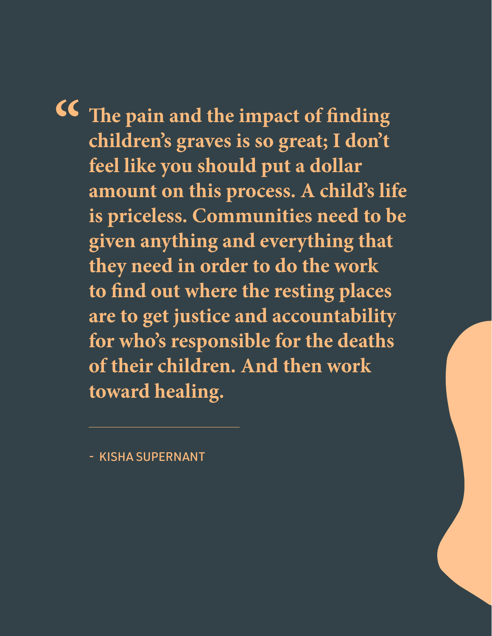**The pain and the impact of finding children's graves is so great; I don't feel like you should put a dollar amount on this process. A child's life is priceless. Communities need to be given anything and everything that they need in order to do the work to find out where the resting places are to get justice and accountability for who's responsible for the deaths of their children. And then work toward healing. "**

- KISHA SUPERNANT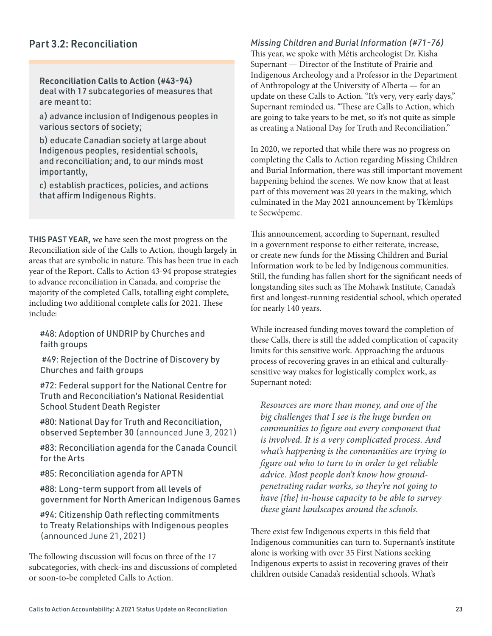### Part 3.2: Reconciliation

Reconciliation Calls to Action (#43-94) deal with 17 subcategories of measures that are meant to:

a) advance inclusion of Indigenous peoples in various sectors of society;

b) educate Canadian society at large about Indigenous peoples, residential schools, and reconciliation; and, to our minds most importantly,

c) establish practices, policies, and actions that affirm Indigenous Rights.

THIS PAST YEAR, we have seen the most progress on the Reconciliation side of the Calls to Action, though largely in areas that are symbolic in nature. This has been true in each year of the Report. Calls to Action 43-94 propose strategies to advance reconciliation in Canada, and comprise the majority of the completed Calls, totalling eight complete, including two additional complete calls for 2021. These include:

#48: Adoption of UNDRIP by Churches and faith groups

 #49: Rejection of the Doctrine of Discovery by Churches and faith groups

#72: Federal support for the National Centre for Truth and Reconciliation's National Residential School Student Death Register

#80: National Day for Truth and Reconciliation, observed September 30 (announced June 3, 2021)

#83: Reconciliation agenda for the Canada Council for the Arts

#85: Reconciliation agenda for APTN

#88: Long-term support from all levels of government for North American Indigenous Games

#94: Citizenship Oath reflecting commitments to Treaty Relationships with Indigenous peoples (announced June 21, 2021)

The following discussion will focus on three of the 17 subcategories, with check-ins and discussions of completed or soon-to-be completed Calls to Action.

*Missing Children and Burial Information (#71-76)* This year, we spoke with Métis archeologist Dr. Kisha Supernant — Director of the Institute of Prairie and Indigenous Archeology and a Professor in the Department of Anthropology at the University of Alberta — for an update on these Calls to Action. "It's very, very early days," Supernant reminded us. "These are Calls to Action, which are going to take years to be met, so it's not quite as simple as creating a National Day for Truth and Reconciliation."

In 2020, we reported that while there was no progress on completing the Calls to Action regarding Missing Children and Burial Information, there was still important movement happening behind the scenes. We now know that at least part of this movement was 20 years in the making, which culminated in the May 2021 announcement by Tk'emlúps te Secwépemc.

This announcement, according to Supernant, resulted in a government response to either reiterate, increase, or create new funds for the Missing Children and Burial Information work to be led by Indigenous communities. Still, [the funding has fallen short](https://kitchener.ctvnews.ca/funding-to-search-ontario-s-residential-schools-falls-short-six-nations-chief-says-in-letter-to-premier-1.5650747) for the significant needs of longstanding sites such as The Mohawk Institute, Canada's first and longest-running residential school, which operated for nearly 140 years.

While increased funding moves toward the completion of these Calls, there is still the added complication of capacity limits for this sensitive work. Approaching the arduous process of recovering graves in an ethical and culturallysensitive way makes for logistically complex work, as Supernant noted:

Resources are more than money, and one of the big challenges that I see is the huge burden on communities to figure out every component that is involved. It is a very complicated process. And what's happening is the communities are trying to figure out who to turn to in order to get reliable advice. Most people don't know how groundpenetrating radar works, so they're not going to have [the] in-house capacity to be able to survey these giant landscapes around the schools.

There exist few Indigenous experts in this field that Indigenous communities can turn to. Supernant's institute alone is working with over 35 First Nations seeking Indigenous experts to assist in recovering graves of their children outside Canada's residential schools. What's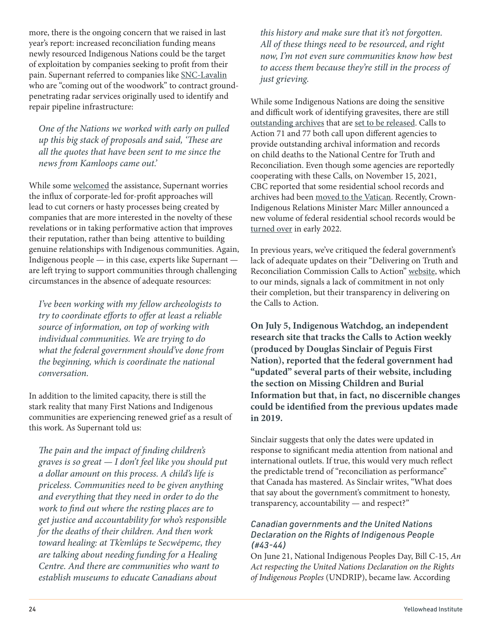more, there is the ongoing concern that we raised in last year's report: increased reconciliation funding means newly resourced Indigenous Nations could be the target of exploitation by companies seeking to profit from their pain. Supernant referred to companies like [SNC-Lavalin](https://www.reddeeradvocate.com/news/some-indigenous-leaders-say-snc-lavalin-cant-make-up-to-to-first-nations-people-with-offer-of-help/) who are "coming out of the woodwork" to contract groundpenetrating radar services originally used to identify and repair pipeline infrastructure:

One of the Nations we worked with early on pulled up this big stack of proposals and said, 'These are all the quotes that have been sent to me since the news from Kamloops came out.'

While some [welcomed](https://www.opasquiatimes.com/news/view/1689) the assistance, Supernant worries the influx of corporate-led for-profit approaches will lead to cut corners or hasty processes being created by companies that are more interested in the novelty of these revelations or in taking performative action that improves their reputation, rather than being attentive to building genuine relationships with Indigenous communities. Again, Indigenous people — in this case, experts like Supernant are left trying to support communities through challenging circumstances in the absence of adequate resources:

I've been working with my fellow archeologists to try to coordinate efforts to offer at least a reliable source of information, on top of working with individual communities. We are trying to do what the federal government should've done from the beginning, which is coordinate the national conversation.

In addition to the limited capacity, there is still the stark reality that many First Nations and Indigenous communities are experiencing renewed grief as a result of this work. As Supernant told us:

The pain and the impact of finding children's graves is so great — I don't feel like you should put a dollar amount on this process. A child's life is priceless. Communities need to be given anything and everything that they need in order to do the work to find out where the resting places are to get justice and accountability for who's responsible for the deaths of their children. And then work toward healing: at Tk'emlúps te Secwépemc, they are talking about needing funding for a Healing Centre. And there are communities who want to establish museums to educate Canadians about

this history and make sure that it's not forgotten. All of these things need to be resourced, and right now, I'm not even sure communities know how best to access them because they're still in the process of just grieving.

While some Indigenous Nations are doing the sensitive and difficult work of identifying gravesites, there are still [outstanding archives](https://www.cbc.ca/news/canada/manitoba/residential-school-records-omi-archive-rome-1.6277490) that are [set to be released](https://www.cbc.ca/news/canada/saskatoon/government-residential-school-records-30-days-1.6275067). Calls to Action 71 and 77 both call upon different agencies to provide outstanding archival information and records on child deaths to the National Centre for Truth and Reconciliation. Even though some agencies are reportedly cooperating with these Calls, on November 15, 2021, CBC reported that some residential school records and archives had been [moved to the Vatican](https://www.cbc.ca/news/canada/ottawa/residential-school-records-now-in-rome-researchers-survivors-concerned-1.6241449). Recently, Crown-Indigenous Relations Minister Marc Miller announced a new volume of federal residential school records would be [turned over](https://globalnews.ca/news/8427609/liberals-appeal-residential-school-payments-dropped-miller/) in early 2022.

In previous years, we've critiqued the federal government's lack of adequate updates on their "Delivering on Truth and Reconciliation Commission Calls to Action" [website](https://www.rcaanc-cirnac.gc.ca/eng/1524494530110/1557511412801), which to our minds, signals a lack of commitment in not only their completion, but their transparency in delivering on the Calls to Action.

**On July 5, [Indigenous Watchdog](https://indigenouswatchdog.org/), an independent research site that tracks the Calls to Action weekly (produced by Douglas Sinclair of Peguis First Nation), reported that the federal government had "updated" several parts of their website, including the section on Missing Children and Burial Information but that, in fact, [no discernible changes](https://indigenouswatchdog.org/2021/07/05/the-government-of-canada-updated-the-trc-calls-to-action-web-site-the-truth-not-a-single-word-was-changed/)  [could be identified](https://indigenouswatchdog.org/2021/07/05/the-government-of-canada-updated-the-trc-calls-to-action-web-site-the-truth-not-a-single-word-was-changed/) from the previous updates made in 2019.**

Sinclair suggests that only the dates were updated in response to significant media attention from national and international outlets. If true, this would very much reflect the predictable trend of "reconciliation as performance" that Canada has mastered. As Sinclair writes, "What does that say about the government's commitment to honesty, transparency, accountability — and respect?"

### *Canadian governments and the United Nations Declaration on the Rights of Indigenous People (#43-44)*

On June 21, National Indigenous Peoples Day, Bill C-15, An Act respecting the United Nations Declaration on the Rights of Indigenous Peoples (UNDRIP), became law. According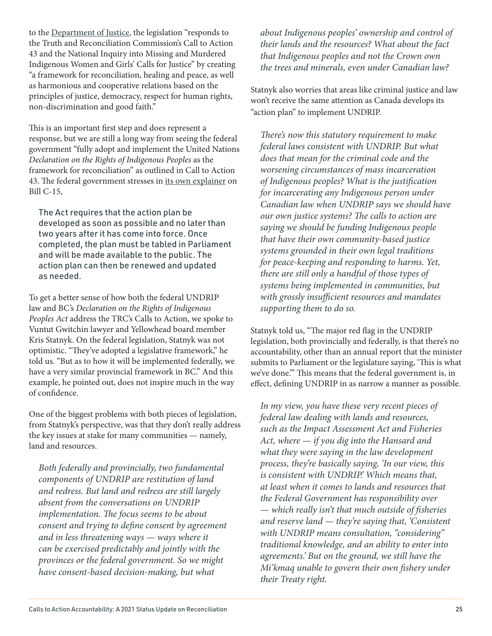to the [Department of Justice](https://www.justice.gc.ca/eng/declaration/about-apropos.html), the legislation "responds to the Truth and Reconciliation Commission's Call to Action 43 and the National Inquiry into Missing and Murdered Indigenous Women and Girls' Calls for Justice" by creating "a framework for reconciliation, healing and peace, as well as harmonious and cooperative relations based on the principles of justice, democracy, respect for human rights, non-discrimination and good faith."

This is an important first step and does represent a response, but we are still a long way from seeing the federal government "fully adopt and implement the United Nations Declaration on the Rights of Indigenous Peoples as the framework for reconciliation" as outlined in Call to Action 43. The federal government stresses in [its own explainer](https://www.justice.gc.ca/eng/declaration/about-apropos.html) on Bill C-15,

The Act requires that the action plan be developed as soon as possible and no later than two years after it has come into force. Once completed, the plan must be tabled in Parliament and will be made available to the public. The action plan can then be renewed and updated as needed.

To get a better sense of how both the federal UNDRIP law and BC's Declaration on the Rights of Indigenous Peoples Act address the TRC's Calls to Action, we spoke to Vuntut Gwitchin lawyer and Yellowhead board member Kris Statnyk. On the federal legislation, Statnyk was not optimistic. "They've adopted a legislative framework," he told us. "But as to how it will be implemented federally, we have a very similar provincial framework in BC." And this example, he pointed out, does not inspire much in the way of confidence.

One of the biggest problems with both pieces of legislation, from Statnyk's perspective, was that they don't really address the key issues at stake for many communities — namely, land and resources.

Both federally and provincially, two fundamental components of UNDRIP are restitution of land and redress. But land and redress are still largely absent from the conversations on UNDRIP implementation. The focus seems to be about consent and trying to define consent by agreement and in less threatening ways — ways where it can be exercised predictably and jointly with the provinces or the federal government. So we might have consent-based decision-making, but what

about Indigenous peoples' ownership and control of their lands and the resources? What about the fact that Indigenous peoples and not the Crown own the trees and minerals, even under Canadian law?

Statnyk also worries that areas like criminal justice and law won't receive the same attention as Canada develops its "action plan" to implement UNDRIP.

There's now this statutory requirement to make federal laws consistent with UNDRIP. But what does that mean for the criminal code and the worsening circumstances of mass incarceration of Indigenous peoples? What is the justification for incarcerating any Indigenous person under Canadian law when UNDRIP says we should have our own justice systems? The calls to action are saying we should be funding Indigenous people that have their own community-based justice systems grounded in their own legal traditions for peace-keeping and responding to harms. Yet, there are still only a handful of those types of systems being implemented in communities, but with grossly insufficient resources and mandates supporting them to do so.

Statnyk told us, "The major red flag in the UNDRIP legislation, both provincially and federally, is that there's no accountability, other than an annual report that the minister submits to Parliament or the legislature saying, 'This is what we've done.'" This means that the federal government is, in effect, defining UNDRIP in as narrow a manner as possible.

In my view, you have these very recent pieces of federal law dealing with lands and resources, such as the Impact Assessment Act and Fisheries Act, where — if you dig into the Hansard and what they were saying in the law development process, they're basically saying, 'In our view, this is consistent with UNDRIP. Which means that, at least when it comes to lands and resources that the Federal Government has responsibility over — which really isn't that much outside of fisheries and reserve land — they're saying that, 'Consistent with UNDRIP means consultation, "considering" traditional knowledge, and an ability to enter into agreements.' But on the ground, we still have the Mi'kmaq unable to govern their own fishery under their Treaty right.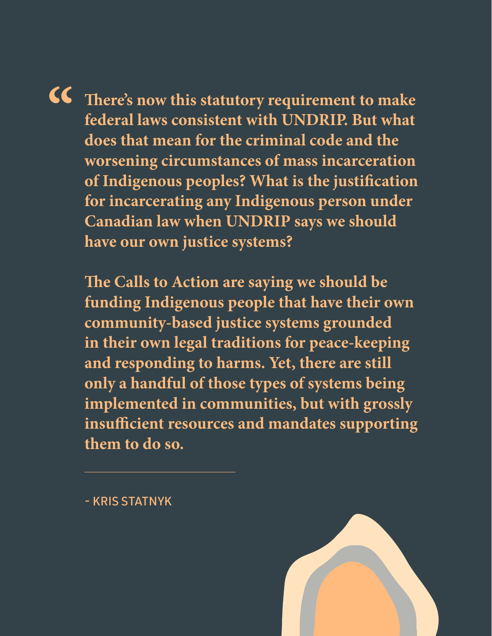**There's now this statutory requirement to make federal laws consistent with UNDRIP. But what does that mean for the criminal code and the worsening circumstances of mass incarceration of Indigenous peoples? What is the justification for incarcerating any Indigenous person under Canadian law when UNDRIP says we should have our own justice systems? "**

**The Calls to Action are saying we should be funding Indigenous people that have their own community-based justice systems grounded in their own legal traditions for peace-keeping and responding to harms. Yet, there are still only a handful of those types of systems being implemented in communities, but with grossly insufficient resources and mandates supporting them to do so.**

- KRIS STATNYK

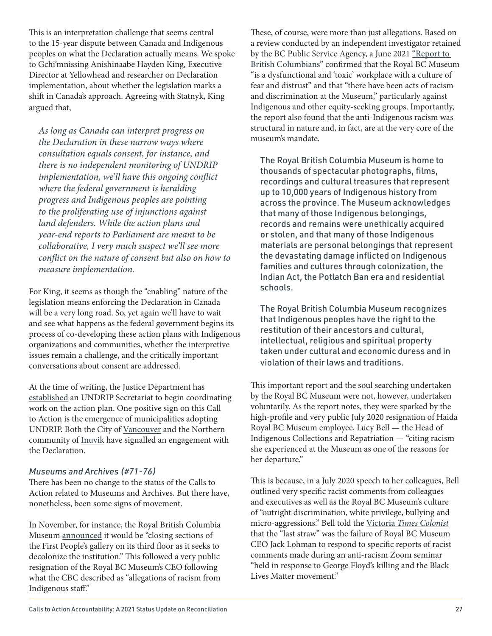This is an interpretation challenge that seems central to the 15-year dispute between Canada and Indigenous peoples on what the Declaration actually means. We spoke to Gchi'mnissing Anishinaabe Hayden King, Executive Director at Yellowhead and researcher on Declaration implementation, about whether the legislation marks a shift in Canada's approach. Agreeing with Statnyk, King argued that,

As long as Canada can interpret progress on the Declaration in these narrow ways where consultation equals consent, for instance, and there is no independent monitoring of UNDRIP implementation, we'll have this ongoing conflict where the federal government is heralding progress and Indigenous peoples are pointing to the proliferating use of injunctions against land defenders. While the action plans and year-end reports to Parliament are meant to be collaborative, I very much suspect we'll see more conflict on the nature of consent but also on how to measure implementation.

For King, it seems as though the "enabling" nature of the legislation means enforcing the Declaration in Canada will be a very long road. So, yet again we'll have to wait and see what happens as the federal government begins its process of co-developing these action plans with Indigenous organizations and communities, whether the interpretive issues remain a challenge, and the critically important conversations about consent are addressed.

At the time of writing, the Justice Department has [established](https://www.canadianlawyermag.com/practice-areas/esg/justice-minister-david-lametti-outlines-agenda-for-indigenous-justice-issues-as-parliament-opens/361905) an UNDRIP Secretariat to begin coordinating work on the action plan. One positive sign on this Call to Action is the emergence of municipalities adopting UNDRIP. Both the City of [Vancouver](https://council.vancouver.ca/20210309/documents/b2.pdf) and the Northern community of [Inuvik](https://www.cbc.ca/news/canada/north/inuvik-adopts-united-nations-declaration-for-indigenous-rights-1.5928542) have signalled an engagement with the Declaration.

### *Museums and Archives (#71-76)*

There has been no change to the status of the Calls to Action related to Museums and Archives. But there have, nonetheless, been some signs of movement.

In November, for instance, the Royal British Columbia Museum [announced](https://www.cbc.ca/news/canada/british-columbia/royal-bc-museum-decolonization-closing-exhibits-1.6235672?cmp=rss) it would be "closing sections of the First People's gallery on its third floor as it seeks to decolonize the institution." This followed a very public resignation of the Royal BC Museum's CEO following what the CBC described as "allegations of racism from Indigenous staff."

These, of course, were more than just allegations. Based on a review conducted by an independent investigator retained by the BC Public Service Agency, a June 2021 ["Report to](https://royalbcmuseum.bc.ca/assets/RBCM_report_8070_FINAL_06.pdf)  [British Columbians"](https://royalbcmuseum.bc.ca/assets/RBCM_report_8070_FINAL_06.pdf) confirmed that the Royal BC Museum "is a dysfunctional and 'toxic' workplace with a culture of fear and distrust" and that "there have been acts of racism and discrimination at the Museum," particularly against Indigenous and other equity-seeking groups. Importantly, the report also found that the anti-Indigenous racism was structural in nature and, in fact, are at the very core of the museum's mandate.

The Royal British Columbia Museum is home to thousands of spectacular photographs, films, recordings and cultural treasures that represent up to 10,000 years of Indigenous history from across the province. The Museum acknowledges that many of those Indigenous belongings, records and remains were unethically acquired or stolen, and that many of those Indigenous materials are personal belongings that represent the devastating damage inflicted on Indigenous families and cultures through colonization, the Indian Act, the Potlatch Ban era and residential schools.

The Royal British Columbia Museum recognizes that Indigenous peoples have the right to the restitution of their ancestors and cultural, intellectual, religious and spiritual property taken under cultural and economic duress and in violation of their laws and traditions.

This important report and the soul searching undertaken by the Royal BC Museum were not, however, undertaken voluntarily. As the report notes, they were sparked by the high-profile and very public July 2020 resignation of Haida Royal BC Museum employee, Lucy Bell — the Head of Indigenous Collections and Repatriation — "citing racism she experienced at the Museum as one of the reasons for her departure."

This is because, in a July 2020 speech to her colleagues, Bell outlined very specific racist comments from colleagues and executives as well as the Royal BC Museum's culture of "outright discrimination, white privilege, bullying and micro-aggressions." Bell told the Victoria [Times Colonist](https://www.timescolonist.com/local-news/staff-survey-results-not-good-after-allegations-of-racism-at-royal-bc-museum-chairman-4686221) that the "last straw" was the failure of Royal BC Museum CEO Jack Lohman to respond to specific reports of racist comments made during an anti-racism Zoom seminar "held in response to George Floyd's killing and the Black Lives Matter movement."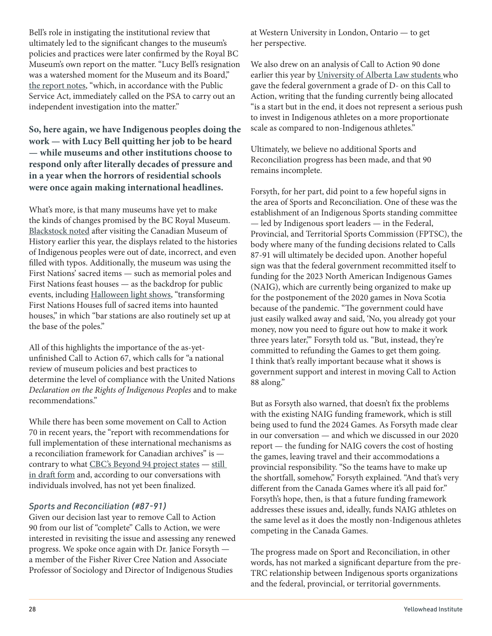Bell's role in instigating the institutional review that ultimately led to the significant changes to the museum's policies and practices were later confirmed by the Royal BC Museum's own report on the matter. "Lucy Bell's resignation was a watershed moment for the Museum and its Board," [the report notes](https://royalbcmuseum.bc.ca/assets/RBCM_report_8070_FINAL_06.pdf), "which, in accordance with the Public Service Act, immediately called on the PSA to carry out an independent investigation into the matter."

**So, here again, we have Indigenous peoples doing the work — with Lucy Bell quitting her job to be heard — while museums and other institutions choose to respond only after literally decades of pressure and in a year when the horrors of residential schools were once again making international headlines.**

What's more, is that many museums have yet to make the kinds of changes promised by the BC Royal Museum. [Blackstock noted](https://twitter.com/cblackst/status/1435914522192236549?s=20) after visiting the Canadian Museum of History earlier this year, the displays related to the histories of Indigenous peoples were out of date, incorrect, and even filled with typos. Additionally, the museum was using the First Nations' sacred items — such as memorial poles and First Nations feast houses — as the backdrop for public events, including [Halloween light shows](https://twitter.com/cblackst/status/1435915539222827010), "transforming First Nations Houses full of sacred items into haunted houses," in which "bar stations are also routinely set up at the base of the poles."

All of this highlights the importance of the as-yetunfinished Call to Action 67, which calls for "a national review of museum policies and best practices to determine the level of compliance with the United Nations Declaration on the Rights of Indigenous Peoples and to make recommendations."

While there has been some movement on Call to Action 70 in recent years, the "report with recommendations for full implementation of these international mechanisms as a reconciliation framework for Canadian archives" is contrary to what [CBC's Beyond 94 project states](https://newsinteractives.cbc.ca/longform-single/beyond-94?&cta=70) — [still](https://archives2026.files.wordpress.com/2020/07/reconciliationframeworkforarchives_july2020_en.pdf)  [in draft form](https://archives2026.files.wordpress.com/2020/07/reconciliationframeworkforarchives_july2020_en.pdf) and, according to our conversations with individuals involved, has not yet been finalized.

### *Sports and Reconciliation (#87-91)*

Given our decision last year to remove Call to Action 90 from our list of "complete" Calls to Action, we were interested in revisiting the issue and assessing any renewed progress. We spoke once again with Dr. Janice Forsyth a member of the Fisher River Cree Nation and Associate Professor of Sociology and Director of Indigenous Studies

at Western University in London, Ontario — to get her perspective.

We also drew on an analysis of Call to Action 90 done earlier this year by [University of Alberta Law students](https://ualbertalaw.typepad.com/faculty/2021/03/re-trc-call-to-action-90-funding-for-indigenous-athletes-and-programs.html) who gave the federal government a grade of D- on this Call to Action, writing that the funding currently being allocated "is a start but in the end, it does not represent a serious push to invest in Indigenous athletes on a more proportionate scale as compared to non-Indigenous athletes."

Ultimately, we believe no additional Sports and Reconciliation progress has been made, and that 90 remains incomplete.

Forsyth, for her part, did point to a few hopeful signs in the area of Sports and Reconciliation. One of these was the establishment of an Indigenous Sports standing committee — led by Indigenous sport leaders — in the Federal, Provincial, and Territorial Sports Commission (FPTSC), the body where many of the funding decisions related to Calls 87-91 will ultimately be decided upon. Another hopeful sign was that the federal government recommitted itself to funding for the 2023 North American Indigenous Games (NAIG), which are currently being organized to make up for the postponement of the 2020 games in Nova Scotia because of the pandemic. "The government could have just easily walked away and said, 'No, you already got your money, now you need to figure out how to make it work three years later,'" Forsyth told us. "But, instead, they're committed to refunding the Games to get them going. I think that's really important because what it shows is government support and interest in moving Call to Action 88 along."

But as Forsyth also warned, that doesn't fix the problems with the existing NAIG funding framework, which is still being used to fund the 2024 Games. As Forsyth made clear in our conversation — and which we discussed in our 2020 report — the funding for NAIG covers the cost of hosting the games, leaving travel and their accommodations a provincial responsibility. "So the teams have to make up the shortfall, somehow," Forsyth explained. "And that's very different from the Canada Games where it's all paid for." Forsyth's hope, then, is that a future funding framework addresses these issues and, ideally, funds NAIG athletes on the same level as it does the mostly non-Indigenous athletes competing in the Canada Games.

The progress made on Sport and Reconciliation, in other words, has not marked a significant departure from the pre-TRC relationship between Indigenous sports organizations and the federal, provincial, or territorial governments.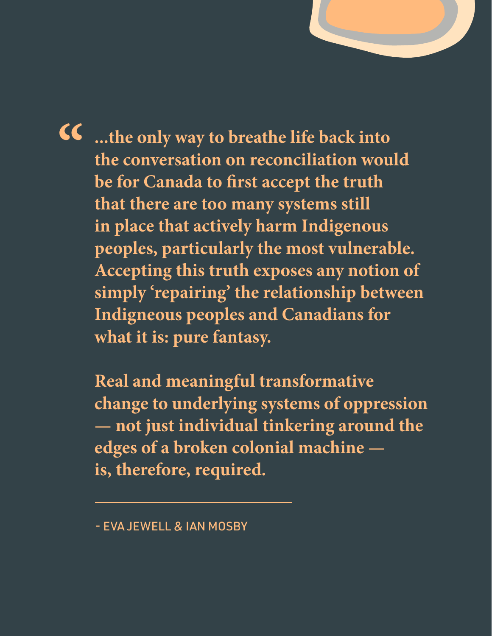**...the only way to breathe life back into the conversation on reconciliation would be for Canada to first accept the truth that there are too many systems still in place that actively harm Indigenous peoples, particularly the most vulnerable. Accepting this truth exposes any notion of simply 'repairing' the relationship between Indigneous peoples and Canadians for what it is: pure fantasy. "**

**Five years, we believe, is more than enough time to test the strength and meaningfulness of that commitment. And, unfortunately, Canada has fallen far short of these commitments and has, by any reasonable metric, received a failing grade when it comes to the 94** 

> **Real and meaningful transformative change to underlying systems of oppression — not just individual tinkering around the edges of a broken colonial machine is, therefore, required.**

<sup>-</sup> EVA JEWELL & IAN MOSBY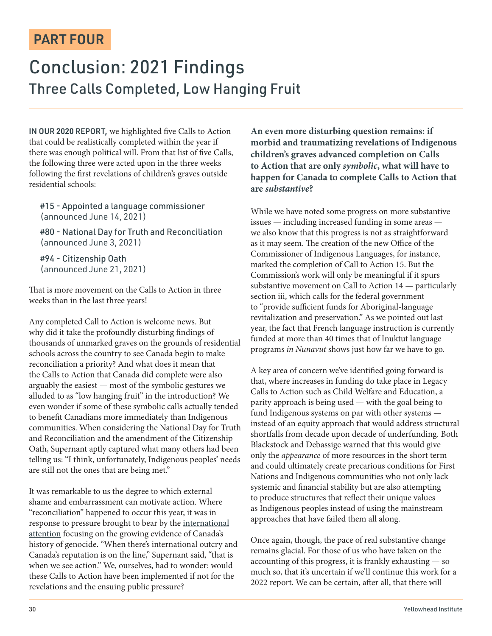### PART FOUR

### Conclusion: 2021 Findings Three Calls Completed, Low Hanging Fruit

IN OUR 2020 REPORT, we highlighted five Calls to Action that could be realistically completed within the year if there was enough political will. From that list of five Calls, the following three were acted upon in the three weeks following the first revelations of children's graves outside residential schools:

#15 - Appointed a language commissioner (announced June 14, 2021)

#80 - National Day for Truth and Reconciliation (announced June 3, 2021)

#94 - Citizenship Oath (announced June 21, 2021)

That is more movement on the Calls to Action in three weeks than in the last three years!

Any completed Call to Action is welcome news. But why did it take the profoundly disturbing findings of thousands of unmarked graves on the grounds of residential schools across the country to see Canada begin to make reconciliation a priority? And what does it mean that the Calls to Action that Canada did complete were also arguably the easiest — most of the symbolic gestures we alluded to as "low hanging fruit" in the introduction? We even wonder if some of these symbolic calls actually tended to benefit Canadians more immediately than Indigenous communities. When considering the National Day for Truth and Reconciliation and the amendment of the Citizenship Oath, Supernant aptly captured what many others had been telling us: "I think, unfortunately, Indigenous peoples' needs are still not the ones that are being met."

It was remarkable to us the degree to which external shame and embarrassment can motivate action. Where "reconciliation" happened to occur this year, it was in response to pressure brought to bear by the [international](https://www.nytimes.com/2021/05/28/world/canada/kamloops-mass-grave-residential-schools.html) [attention](https://www.theguardian.com/world/2021/may/28/canada-remains-indigenous-children-mass-graves) focusing on the growing evidence of Canada's history of genocide. "When there's international outcry and Canada's reputation is on the line," Supernant said, "that is when we see action." We, ourselves, had to wonder: would these Calls to Action have been implemented if not for the revelations and the ensuing public pressure?

**An even more disturbing question remains: if morbid and traumatizing revelations of Indigenous children's graves advanced completion on Calls to Action that are only symbolic, what will have to happen for Canada to complete Calls to Action that are substantive?**

While we have noted some progress on more substantive issues — including increased funding in some areas we also know that this progress is not as straightforward as it may seem. The creation of the new Office of the Commissioner of Indigenous Languages, for instance, marked the completion of Call to Action 15. But the Commission's work will only be meaningful if it spurs substantive movement on Call to Action 14 — particularly section iii, which calls for the federal government to "provide sufficient funds for Aboriginal-language revitalization and preservation." As we pointed out last year, the fact that French language instruction is currently funded at more than 40 times that of Inuktut language programs in Nunavut shows just how far we have to go.

A key area of concern we've identified going forward is that, where increases in funding do take place in Legacy Calls to Action such as Child Welfare and Education, a parity approach is being used — with the goal being to fund Indigenous systems on par with other systems instead of an equity approach that would address structural shortfalls from decade upon decade of underfunding. Both Blackstock and Debassige warned that this would give only the appearance of more resources in the short term and could ultimately create precarious conditions for First Nations and Indigenous communities who not only lack systemic and financial stability but are also attempting to produce structures that reflect their unique values as Indigenous peoples instead of using the mainstream approaches that have failed them all along.

Once again, though, the pace of real substantive change remains glacial. For those of us who have taken on the accounting of this progress, it is frankly exhausting — so much so, that it's uncertain if we'll continue this work for a 2022 report. We can be certain, after all, that there will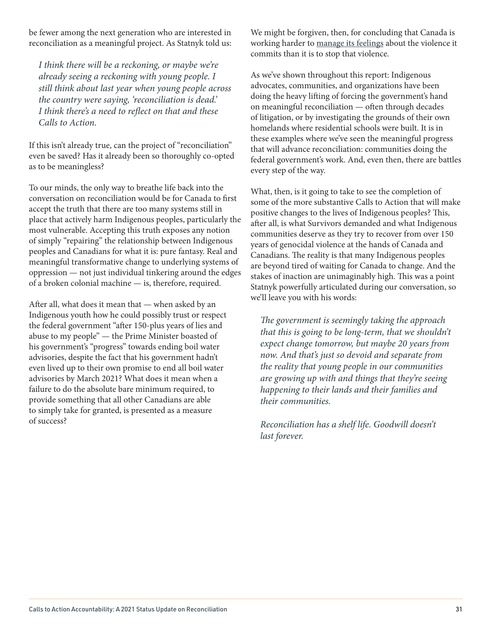be fewer among the next generation who are interested in reconciliation as a meaningful project. As Statnyk told us:

I think there will be a reckoning, or maybe we're already seeing a reckoning with young people. I still think about last year when young people across the country were saying, 'reconciliation is dead.' I think there's a need to reflect on that and these Calls to Action.

If this isn't already true, can the project of "reconciliation" even be saved? Has it already been so thoroughly co-opted as to be meaningless?

To our minds, the only way to breathe life back into the conversation on reconciliation would be for Canada to first accept the truth that there are too many systems still in place that actively harm Indigenous peoples, particularly the most vulnerable. Accepting this truth exposes any notion of simply "repairing" the relationship between Indigenous peoples and Canadians for what it is: pure fantasy. Real and meaningful transformative change to underlying systems of oppression — not just individual tinkering around the edges of a broken colonial machine — is, therefore, required.

After all, what does it mean that — when asked by an Indigenous youth how he could possibly trust or respect the federal government "after 150-plus years of lies and abuse to my people" — the Prime Minister boasted of his government's "progress" towards ending boil water advisories, despite the fact that his government hadn't even lived up to their own promise to end all boil water advisories by March 2021? What does it mean when a failure to do the absolute bare minimum required, to provide something that all other Canadians are able to simply take for granted, is presented as a measure of success?

We might be forgiven, then, for concluding that Canada is working harder to [manage its feelings](https://soundcloud.com/therednationpod/unlocked-canada-is-an-empire) about the violence it commits than it is to stop that violence.

As we've shown throughout this report: Indigenous advocates, communities, and organizations have been doing the heavy lifting of forcing the government's hand on meaningful reconciliation — often through decades of litigation, or by investigating the grounds of their own homelands where residential schools were built. It is in these examples where we've seen the meaningful progress that will advance reconciliation: communities doing the federal government's work. And, even then, there are battles every step of the way.

What, then, is it going to take to see the completion of some of the more substantive Calls to Action that will make positive changes to the lives of Indigenous peoples? This, after all, is what Survivors demanded and what Indigenous communities deserve as they try to recover from over 150 years of genocidal violence at the hands of Canada and Canadians. The reality is that many Indigenous peoples are beyond tired of waiting for Canada to change. And the stakes of inaction are unimaginably high. This was a point Statnyk powerfully articulated during our conversation, so we'll leave you with his words:

The government is seemingly taking the approach that this is going to be long-term, that we shouldn't expect change tomorrow, but maybe 20 years from now. And that's just so devoid and separate from the reality that young people in our communities are growing up with and things that they're seeing happening to their lands and their families and their communities.

Reconciliation has a shelf life. Goodwill doesn't last forever.